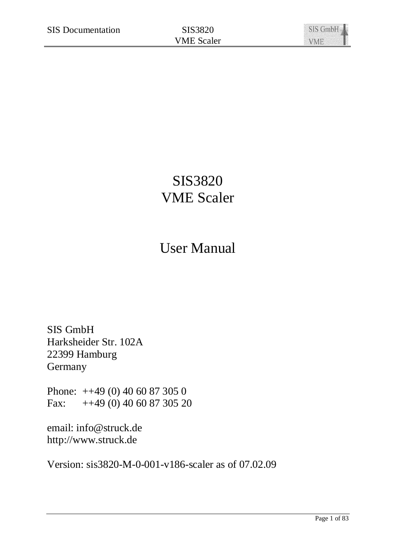# SIS3820 VME Scaler

# User Manual

SIS GmbH Harksheider Str. 102A 22399 Hamburg Germany

Phone: ++49 (0) 40 60 87 305 0 Fax: ++49 (0) 40 60 87 305 20

email: info@struck.de http://www.struck.de

Version: sis3820-M-0-001-v186-scaler as of 07.02.09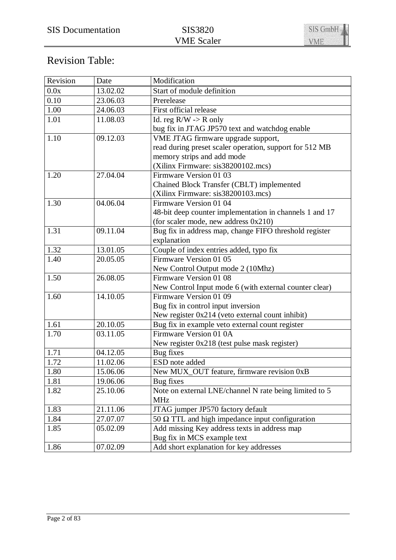

# Revision Table:

| Revision | Date     | Modification                                            |  |
|----------|----------|---------------------------------------------------------|--|
| 0.0x     | 13.02.02 | Start of module definition                              |  |
| 0.10     | 23.06.03 | Prerelease                                              |  |
| 1.00     | 24.06.03 | First official release                                  |  |
| 1.01     | 11.08.03 | Id. reg $R/W \rightarrow R$ only                        |  |
|          |          | bug fix in JTAG JP570 text and watchdog enable          |  |
| 1.10     | 09.12.03 | VME JTAG firmware upgrade support,                      |  |
|          |          | read during preset scaler operation, support for 512 MB |  |
|          |          | memory strips and add mode                              |  |
|          |          | (Xilinx Firmware: sis38200102.mcs)                      |  |
| 1.20     | 27.04.04 | Firmware Version 01 03                                  |  |
|          |          | Chained Block Transfer (CBLT) implemented               |  |
|          |          | (Xilinx Firmware: sis38200103.mcs)                      |  |
| 1.30     | 04.06.04 | Firmware Version $0\overline{1}$ 04                     |  |
|          |          | 48-bit deep counter implementation in channels 1 and 17 |  |
|          |          | (for scaler mode, new address 0x210)                    |  |
| 1.31     | 09.11.04 | Bug fix in address map, change FIFO threshold register  |  |
|          |          | explanation                                             |  |
| 1.32     | 13.01.05 | Couple of index entries added, typo fix                 |  |
| 1.40     | 20.05.05 | Firmware Version 01 05                                  |  |
|          |          | New Control Output mode 2 (10Mhz)                       |  |
| 1.50     | 26.08.05 | Firmware Version 01 08                                  |  |
|          |          | New Control Input mode 6 (with external counter clear)  |  |
| 1.60     | 14.10.05 | Firmware Version 01 09                                  |  |
|          |          | Bug fix in control input inversion                      |  |
|          |          | New register $0x214$ (veto external count inhibit)      |  |
| 1.61     | 20.10.05 | Bug fix in example veto external count register         |  |
| 1.70     | 03.11.05 | Firmware Version 01 0A                                  |  |
|          |          | New register 0x218 (test pulse mask register)           |  |
| 1.71     | 04.12.05 | Bug fixes                                               |  |
| 1.72     | 11.02.06 | ESD note added                                          |  |
| 1.80     | 15.06.06 | New MUX_OUT feature, firmware revision 0xB              |  |
| 1.81     | 19.06.06 | Bug fixes                                               |  |
| 1.82     | 25.10.06 | Note on external LNE/channel N rate being limited to 5  |  |
|          |          | <b>MHz</b>                                              |  |
| 1.83     | 21.11.06 | JTAG jumper JP570 factory default                       |  |
| 1.84     | 27.07.07 | 50 $\Omega$ TTL and high impedance input configuration  |  |
| 1.85     | 05.02.09 | Add missing Key address texts in address map            |  |
|          |          | Bug fix in MCS example text                             |  |
| 1.86     | 07.02.09 | Add short explanation for key addresses                 |  |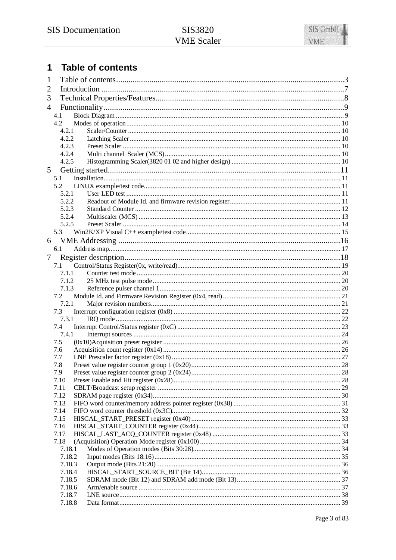

# 1 Table of contents

| 1              |                |  |
|----------------|----------------|--|
| 2              |                |  |
| 3              |                |  |
| $\overline{4}$ |                |  |
|                | 4.1            |  |
|                | 4.2            |  |
|                | 4.2.1          |  |
|                | 4.2.2          |  |
|                | 4.2.3          |  |
|                | 4.2.4          |  |
|                | 4.2.5          |  |
| 5              |                |  |
|                | 5.1            |  |
|                | 5.2            |  |
|                | 5.2.1          |  |
|                | 5.2.2<br>5.2.3 |  |
|                | 5.2.4          |  |
|                | 5.2.5          |  |
|                | 5.3            |  |
|                |                |  |
| 6              |                |  |
|                | 6.1            |  |
| 7              |                |  |
|                | 7.1            |  |
|                | 7.1.1          |  |
|                | 7.1.2          |  |
|                | 7.1.3<br>7.2   |  |
|                | 7.2.1          |  |
|                | 7.3            |  |
|                | 7.3.1          |  |
|                | 7.4            |  |
|                | 7.4.1          |  |
|                | 7.5            |  |
|                | 7.6            |  |
|                | 7.7            |  |
|                | 7.8            |  |
|                | 7.9            |  |
|                | 7.10           |  |
|                | 7.11           |  |
|                | 7.12           |  |
|                | 7.13           |  |
|                | 7.14           |  |
|                | 7.15           |  |
|                | 7.16           |  |
|                | 7.17           |  |
|                | 7.18           |  |
|                | 7.18.1         |  |
|                | 7.18.2         |  |
|                | 7.18.3         |  |
|                | 7.18.4         |  |
|                | 7.18.5         |  |
|                | 7.18.6         |  |
|                | 7.18.7         |  |
|                | 7.18.8         |  |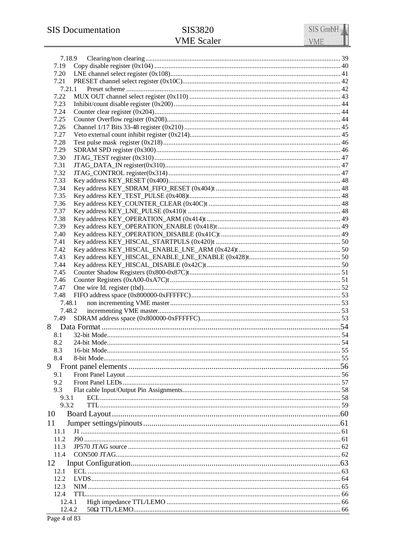# SIS3820 **VME** Scaler



| 7.18.9         |        |  |
|----------------|--------|--|
| 7.19           |        |  |
| 7.20           |        |  |
| 7.21           |        |  |
|                | 7.21.1 |  |
| 7.22           |        |  |
| 7.23           |        |  |
| 7.24           |        |  |
| 7.25           |        |  |
| 7.26           |        |  |
| 7.27           |        |  |
| 7.28           |        |  |
| 7.29           |        |  |
| 7.30           |        |  |
| 7.31           |        |  |
| 7.32           |        |  |
| 7.33           |        |  |
| 7.34           |        |  |
| 7.35           |        |  |
| 7.36           |        |  |
| 7.37           |        |  |
| 7.38           |        |  |
| 7.39           |        |  |
| 7.40<br>7.41   |        |  |
|                |        |  |
| 7.42           |        |  |
| 7.43<br>7.44   |        |  |
| 7.45           |        |  |
| 7.46           |        |  |
| 7.47           |        |  |
| 7.48           |        |  |
| 7.48.1         |        |  |
| 7.48.2         |        |  |
| 7.49           |        |  |
| 8              |        |  |
| 8.1            |        |  |
| 8.2            |        |  |
| 8.3            |        |  |
| 8.4            |        |  |
| 9              |        |  |
|                |        |  |
| 9.1            |        |  |
| 9.2            |        |  |
| 9.3            |        |  |
| 9.3.1<br>9.3.2 |        |  |
|                |        |  |
| 10             |        |  |
| 11             |        |  |
| 11.1           |        |  |
| 11.2           |        |  |
| 11.3           |        |  |
| 11.4           |        |  |
| 12             |        |  |
| 12.1           |        |  |
| 12.2           |        |  |
| 12.3           |        |  |
| 12.4           | TTL.   |  |
| 12.4.1         |        |  |
| 12.4.2         |        |  |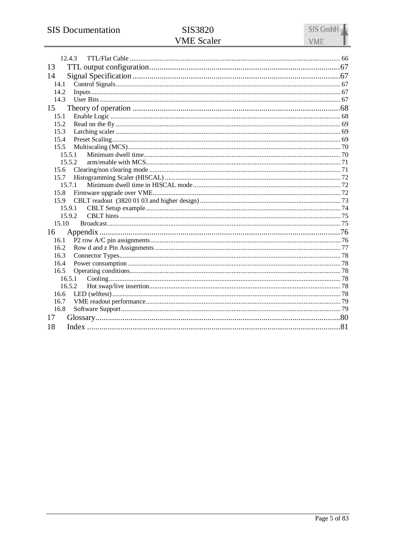| 12.4.3 |  |
|--------|--|
| 13     |  |
| 14     |  |
| 14.1   |  |
| 14.2   |  |
| 14.3   |  |
| 15     |  |
| 15.1   |  |
| 15.2   |  |
| 15.3   |  |
| 15.4   |  |
| 15.5   |  |
| 15.5.1 |  |
| 15.5.2 |  |
| 15.6   |  |
| 15.7   |  |
| 15.7.1 |  |
| 15.8   |  |
| 15.9   |  |
| 15.9.1 |  |
| 15.9.2 |  |
| 15.10  |  |
| 16     |  |
| 16.1   |  |
| 16.2   |  |
| 16.3   |  |
| 16.4   |  |
| 16.5   |  |
| 16.5.1 |  |
| 16.5.2 |  |
| 16.6   |  |
| 16.7   |  |
| 16.8   |  |
| 17     |  |
| 18     |  |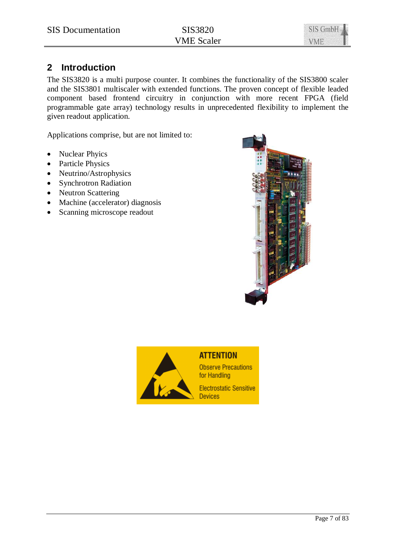VME Scaler



### **2 Introduction**

The SIS3820 is a multi purpose counter. It combines the functionality of the SIS3800 scaler and the SIS3801 multiscaler with extended functions. The proven concept of flexible leaded component based frontend circuitry in conjunction with more recent FPGA (field programmable gate array) technology results in unprecedented flexibility to implement the given readout application.

Applications comprise, but are not limited to:

- Nuclear Phyics
- Particle Physics
- $\bullet$  Neutrino/Astrophysics
- Synchrotron Radiation
- Neutron Scattering
- $\bullet$  Machine (accelerator) diagnosis
- Scanning microscope readout





**ATTENTION** 

**Observe Precautions** for Handling **Electrostatic Sensitive Devices**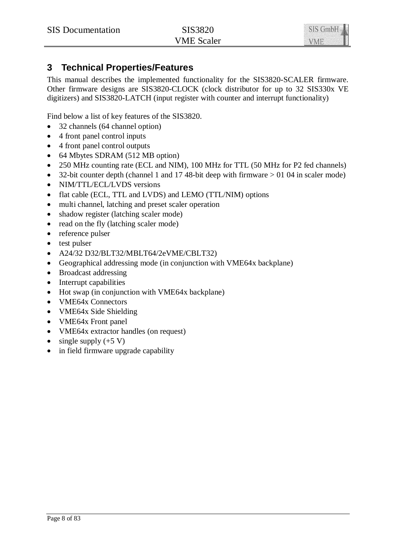# **3 Technical Properties/Features**

This manual describes the implemented functionality for the SIS3820-SCALER firmware. Other firmware designs are SIS3820-CLOCK (clock distributor for up to 32 SIS330x VE digitizers) and SIS3820-LATCH (input register with counter and interrupt functionality)

Find below a list of key features of the SIS3820.

- $\bullet$  32 channels (64 channel option)
- $\bullet$  4 front panel control inputs
- $\bullet$  4 front panel control outputs
- 64 Mbytes SDRAM (512 MB option)
- 250 MHz counting rate (ECL and NIM), 100 MHz for TTL (50 MHz for P2 fed channels)
- $\bullet$  32-bit counter depth (channel 1 and 17 48-bit deep with firmware  $> 0104$  in scaler mode)
- NIM/TTL/ECL/LVDS versions
- flat cable (ECL, TTL and LVDS) and LEMO (TTL/NIM) options
- multi channel, latching and preset scaler operation
- shadow register (latching scaler mode)
- $\bullet$  read on the fly (latching scaler mode)
- $\bullet$  reference pulser
- $\bullet$  test pulser
- x A24/32 D32/BLT32/MBLT64/2eVME/CBLT32)
- Geographical addressing mode (in conjunction with VME64x backplane)
- $\bullet$  Broadcast addressing
- $\bullet$  Interrupt capabilities
- $\bullet$  Hot swap (in conjunction with VME64x backplane)
- VME64x Connectors
- $\bullet$  VME64x Side Shielding
- VME64x Front panel
- VME64x extractor handles (on request)
- $\bullet$  single supply (+5 V)
- $\bullet$  in field firmware upgrade capability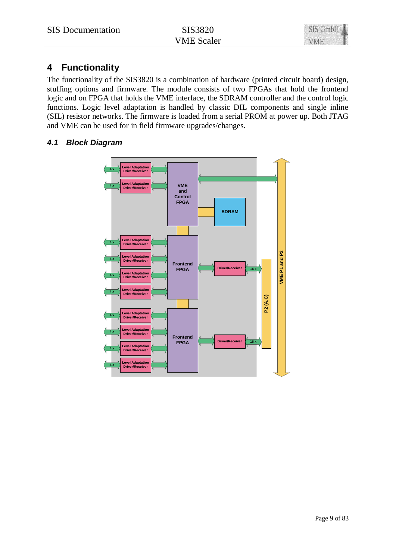# **4 Functionality**

The functionality of the SIS3820 is a combination of hardware (printed circuit board) design, stuffing options and firmware. The module consists of two FPGAs that hold the frontend logic and on FPGA that holds the VME interface, the SDRAM controller and the control logic functions. Logic level adaptation is handled by classic DIL components and single inline (SIL) resistor networks. The firmware is loaded from a serial PROM at power up. Both JTAG and VME can be used for in field firmware upgrades/changes.

#### *4.1 Block Diagram*

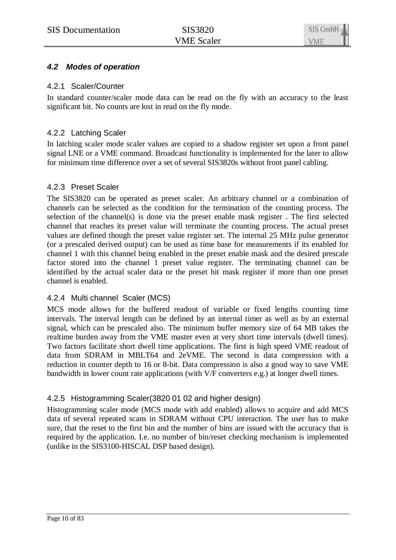#### *4.2 Modes of operation*

#### 4.2.1 Scaler/Counter

In standard counter/scaler mode data can be read on the fly with an accuracy to the least significant bit. No counts are lost in read on the fly mode.

#### 4.2.2 Latching Scaler

In latching scaler mode scaler values are copied to a shadow register set upon a front panel signal LNE or a VME command. Broadcast functionality is implemented for the later to allow for minimum time difference over a set of several SIS3820s without front panel cabling.

#### 4.2.3 Preset Scaler

The SIS3820 can be operated as preset scaler. An arbitrary channel or a combination of channels can be selected as the condition for the termination of the counting process. The selection of the channel(s) is done via the preset enable mask register . The first selected channel that reaches its preset value will terminate the counting process. The actual preset values are defined though the preset value register set. The internal 25 MHz pulse generator (or a prescaled derived output) can be used as time base for measurements if its enabled for channel 1 with this channel being enabled in the preset enable mask and the desired prescale factor stored into the channel 1 preset value register. The terminating channel can be identified by the actual scaler data or the preset hit mask register if more than one preset channel is enabled.

#### 4.2.4 Multi channel Scaler (MCS)

MCS mode allows for the buffered readout of variable or fixed lengths counting time intervals. The interval length can be defined by an internal timer as well as by an external signal, which can be prescaled also. The minimum buffer memory size of 64 MB takes the realtime burden away from the VME master even at very short time intervals (dwell times). Two factors facilitate short dwell time applications. The first is high speed VME readout of data from SDRAM in MBLT64 and 2eVME. The second is data compression with a reduction in counter depth to 16 or 8-bit. Data compression is also a good way to save VME bandwidth in lower count rate applications (with V/F converters e.g.) at longer dwell times.

#### 4.2.5 Histogramming Scaler(3820 01 02 and higher design)

Histogramming scaler mode (MCS mode with add enabled) allows to acquire and add MCS data of several repeated scans in SDRAM without CPU interaction. The user has to make sure, that the reset to the first bin and the number of bins are issued with the accuracy that is required by the application. I.e. no number of bin/reset checking mechanism is implemented (unlike in the SIS3100-HISCAL DSP based design).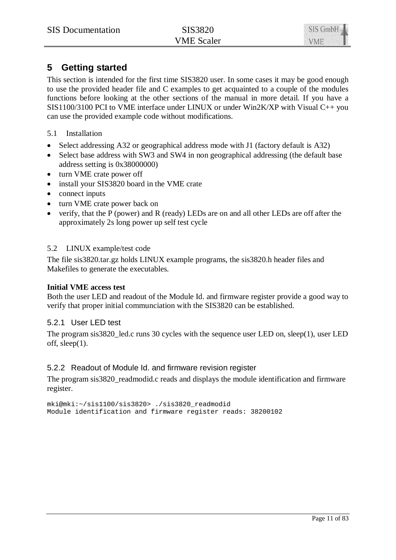# **5 Getting started**

This section is intended for the first time SIS3820 user. In some cases it may be good enough to use the provided header file and C examples to get acquainted to a couple of the modules functions before looking at the other sections of the manual in more detail. If you have a SIS1100/3100 PCI to VME interface under LINUX or under Win2K/XP with Visual C++ you can use the provided example code without modifications.

#### 5.1 Installation

- Select addressing A32 or geographical address mode with J1 (factory default is A32)
- Select base address with SW3 and SW4 in non geographical addressing (the default base address setting is 0x38000000)
- turn VME crate power off
- install your SIS3820 board in the VME crate
- $\bullet$  connect inputs
- turn VME crate power back on
- $\bullet$  verify, that the P (power) and R (ready) LEDs are on and all other LEDs are off after the approximately 2s long power up self test cycle

#### 5.2 LINUX example/test code

The file sis3820.tar.gz holds LINUX example programs, the sis3820.h header files and Makefiles to generate the executables.

#### **Initial VME access test**

Both the user LED and readout of the Module Id. and firmware register provide a good way to verify that proper initial communciation with the SIS3820 can be established.

#### 5.2.1 User LED test

The program sis3820 led.c runs 30 cycles with the sequence user LED on, sleep(1), user LED off, sleep(1).

#### 5.2.2 Readout of Module Id. and firmware revision register

The program sis3820\_readmodid.c reads and displays the module identification and firmware register.

mki@mki:~/sis1100/sis3820> ./sis3820\_readmodid Module identification and firmware register reads: 38200102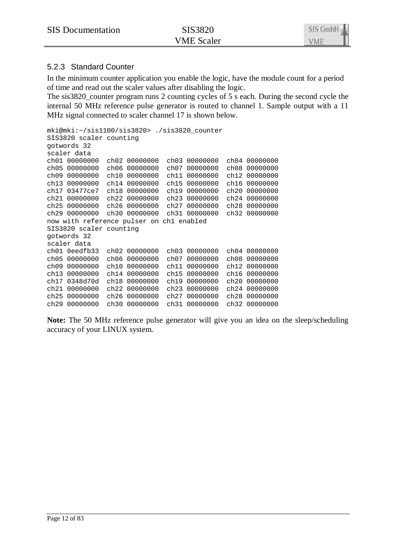

#### 5.2.3 Standard Counter

In the minimum counter application you enable the logic, have the module count for a period of time and read out the scaler values after disabling the logic.

The sis3820\_counter program runs 2 counting cycles of 5 s each. During the second cycle the internal 50 MHz reference pulse generator is routed to channel 1. Sample output with a 11 MHz signal connected to scaler channel 17 is shown below.

```
mki@mki:~/sis1100/sis3820> ./sis3820_counter
SIS3820 scaler counting
gotwords 32
scaler data
ch01 00000000 ch02 00000000 ch03 00000000 ch04 00000000
ch05 00000000 ch06 00000000 ch07 00000000 ch08 00000000
ch09 00000000 ch10 00000000 ch11 00000000 ch12 00000000
ch13 00000000 ch14 00000000 ch15 00000000 ch16 00000000
ch17 03477ce7 ch18 00000000 ch19 00000000 ch20 00000000
ch21 00000000 ch22 00000000 ch23 00000000 ch24 00000000
ch25 00000000 ch26 00000000 ch27 00000000 ch28 00000000
ch29 00000000 ch30 00000000 ch31 00000000 ch32 00000000
now with reference pulser on ch1 enabled
SIS3820 scaler counting
gotwords 32
scaler data
ch01 0eedfb33 ch02 00000000 ch03 00000000 ch04 00000000
ch05 00000000 ch06 00000000 ch07 00000000 ch08 00000000
ch09 00000000 ch10 00000000 ch11 00000000 ch12 00000000
ch13 00000000 ch14 00000000 ch15 00000000 ch16 00000000
ch17 0348d70d ch18 00000000 ch19 00000000 ch20 00000000
ch21 00000000 ch22 00000000 ch23 00000000 ch24 00000000
ch25 00000000 ch26 00000000 ch27 00000000 ch28 00000000
ch29 00000000 ch30 00000000 ch31 00000000 ch32 00000000
```
**Note:** The 50 MHz reference pulse generator will give you an idea on the sleep/scheduling accuracy of your LINUX system.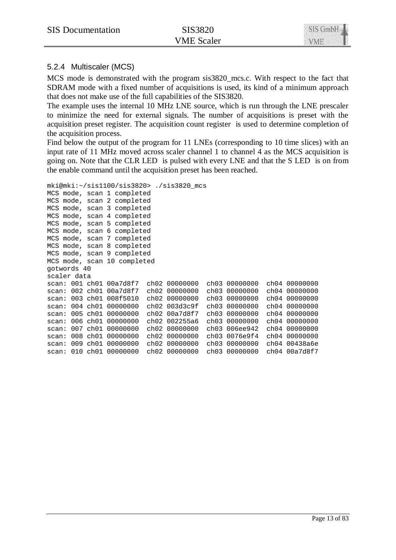#### 5.2.4 Multiscaler (MCS)

MCS mode is demonstrated with the program sis3820 mcs.c. With respect to the fact that SDRAM mode with a fixed number of acquisitions is used, its kind of a minimum approach that does not make use of the full capabilities of the SIS3820.

The example uses the internal 10 MHz LNE source, which is run through the LNE prescaler to minimize the need for external signals. The number of acquisitions is preset with the acquisition preset register. The acquisition count register is used to determine completion of the acquisition process.

Find below the output of the program for 11 LNEs (corresponding to 10 time slices) with an input rate of 11 MHz moved across scaler channel 1 to channel 4 as the MCS acquisition is going on. Note that the CLR LED is pulsed with every LNE and that the S LED is on from the enable command until the acquisition preset has been reached.

```
mki@mki:~/sis1100/sis3820> ./sis3820_mcs
MCS mode, scan 1 completed
MCS mode, scan 2 completed
MCS mode, scan 3 completed
MCS mode, scan 4 completed
MCS mode, scan 5 completed
MCS mode, scan 6 completed
MCS mode, scan 7 completed
MCS mode, scan 8 completed
MCS mode, scan 9 completed
MCS mode, scan 10 completed
gotwords 40
scaler data
scan: 001 ch01 00a7d8f7 ch02 00000000 ch03 00000000 ch04 00000000
scan: 002 ch01 00a7d8f7 ch02 00000000 ch03 00000000 ch04 00000000
scan: 003 ch01 008f5010 ch02 00000000 ch03 00000000 ch04 00000000
scan: 004 ch01 00000000 ch02 003d3c9f ch03 00000000 ch04 00000000
scan: 005 ch01 00000000 ch02 00a7d8f7 ch03 00000000 ch04 00000000
scan: 006 ch01 00000000 ch02 002255a6 ch03 00000000 ch04 00000000
scan: 007 ch01 00000000 ch02 00000000 ch03 006ee942 ch04 00000000
scan: 008 ch01 00000000 ch02 00000000 ch03 0076e9f4 ch04 00000000
scan: 009 ch01 00000000 ch02 00000000 ch03 00000000 ch04 00438a6e
scan: 010 ch01 00000000 ch02 00000000 ch03 00000000 ch04 00a7d8f7
```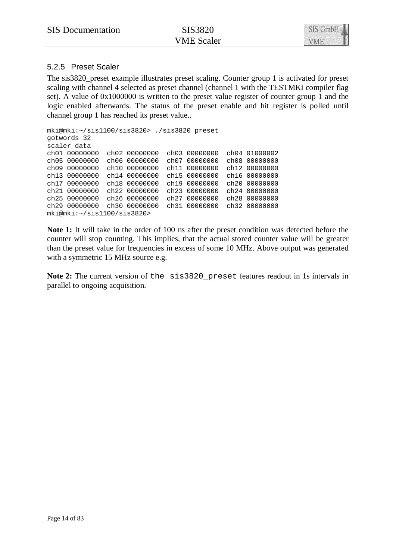VME Scaler



#### 5.2.5 Preset Scaler

The sis3820 preset example illustrates preset scaling. Counter group 1 is activated for preset scaling with channel 4 selected as preset channel (channel 1 with the TESTMKI compiler flag set). A value of 0x1000000 is written to the preset value register of counter group 1 and the logic enabled afterwards. The status of the preset enable and hit register is polled until channel group 1 has reached its preset value..

```
mki@mki:~/sis1100/sis3820> ./sis3820_preset
gotwords 32
scaler data
ch01 00000000 ch02 00000000 ch03 00000000 ch04 01000002
ch05 00000000 ch06 00000000 ch07 00000000 ch08 00000000
ch09 00000000 ch10 00000000 ch11 00000000 ch12 00000000
ch13 00000000 ch14 00000000 ch15 00000000 ch16 00000000
ch17 00000000 ch18 00000000 ch19 00000000 ch20 00000000
ch21 00000000 ch22 00000000 ch23 00000000 ch24 00000000
ch25 00000000 ch26 00000000 ch27 00000000 ch28 00000000
ch29 00000000 ch30 00000000 ch31 00000000 ch32 00000000
mki@mki:~/sis1100/sis3820>
```
**Note 1:** It will take in the order of 100 ns after the preset condition was detected before the counter will stop counting. This implies, that the actual stored counter value will be greater than the preset value for frequencies in excess of some 10 MHz. Above output was generated with a symmetric 15 MHz source e.g.

**Note 2:** The current version of the sis3820\_preset features readout in 1s intervals in parallel to ongoing acquisition.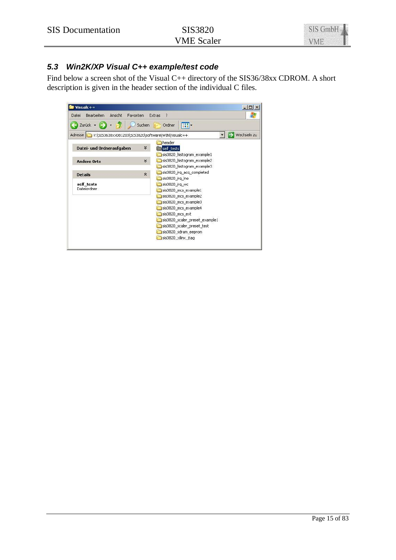#### *5.3 Win2K/XP Visual C++ example/test code*

Find below a screen shot of the Visual C++ directory of the SIS36/38xx CDROM. A short description is given in the header section of the individual C files.

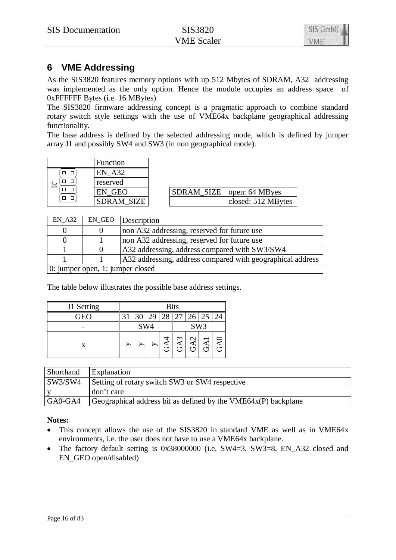# **6 VME Addressing**

As the SIS3820 features memory options with up 512 Mbytes of SDRAM, A32 addressing was implemented as the only option. Hence the module occupies an address space of 0xFFFFFF Bytes (i.e. 16 MBytes).

The SIS3820 firmware addressing concept is a pragmatic approach to combine standard rotary switch style settings with the use of VME64x backplane geographical addressing functionality.

The base address is defined by the selected addressing mode, which is defined by jumper array J1 and possibly SW4 and SW3 (in non geographical mode).

|   | Function          |
|---|-------------------|
|   | $EN_A32$          |
| 느 | reserved          |
|   | <b>EN GEO</b>     |
|   | <b>SDRAM SIZE</b> |

| reserved   |  |                             |
|------------|--|-----------------------------|
| EN GEO     |  | SDRAM SIZE   open: 64 MByes |
| SDRAM SIZE |  | closed: 512 MBytes          |

| $EN\_A32$                        | EN_GEO                                                     | Description                                   |  |  |
|----------------------------------|------------------------------------------------------------|-----------------------------------------------|--|--|
|                                  |                                                            | non A32 addressing, reserved for future use   |  |  |
|                                  |                                                            | non A32 addressing, reserved for future use   |  |  |
|                                  |                                                            | A32 addressing, address compared with SW3/SW4 |  |  |
|                                  | A32 addressing, address compared with geographical address |                                               |  |  |
| 0: jumper open, 1: jumper closed |                                                            |                                               |  |  |

The table below illustrates the possible base address settings.

| J1 Setting |                 |        |    |    | <b>Bits</b>          |  |    |  |
|------------|-----------------|--------|----|----|----------------------|--|----|--|
| GEO        |                 |        |    | 28 | 27                   |  | 25 |  |
|            | SW <sub>4</sub> |        |    |    | SW <sub>3</sub>      |  |    |  |
| X          | $\rightarrow$   | $\geq$ | ➢∣ |    | $\blacktriangleleft$ |  |    |  |

| Shorthand | Explanation                                                      |
|-----------|------------------------------------------------------------------|
| SW3/SW4   | Setting of rotary switch SW3 or SW4 respective                   |
|           | don't care                                                       |
| GA0-GA4   | Geographical address bit as defined by the $VME64x(P)$ backplane |

#### **Notes:**

- This concept allows the use of the SIS3820 in standard VME as well as in VME64x environments, i.e. the user does not have to use a VME64x backplane.
- The factory default setting is  $0x38000000$  (i.e. SW4=3, SW3=8, EN A32 closed and EN\_GEO open/disabled)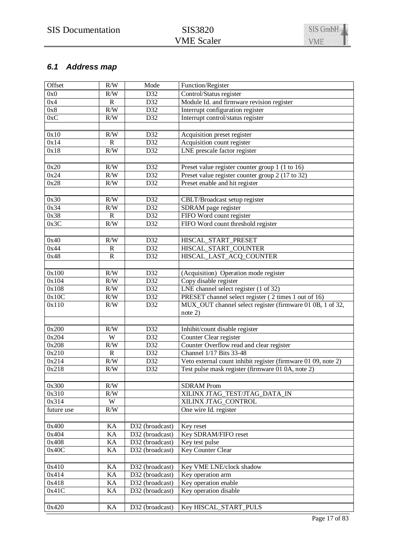# VME Scaler



# *6.1 Address map*

| Offset         | R/W              | Mode                    | Function/Register                                                                                                  |  |
|----------------|------------------|-------------------------|--------------------------------------------------------------------------------------------------------------------|--|
| 0x0            | R/W              | D32                     | Control/Status register                                                                                            |  |
| 0x4            | $\mathbf R$      | D32                     | Module Id. and firmware revision register                                                                          |  |
| 0x8            | R/W              | D32                     | Interrupt configuration register                                                                                   |  |
| 0xC            | R/W              | $\overline{D32}$        | Interrupt control/status register                                                                                  |  |
|                |                  |                         |                                                                                                                    |  |
| 0x10           | R/W              | D32                     | Acquisition preset register                                                                                        |  |
| 0x14           | $\mathbf R$      | D32                     | Acquisition count register                                                                                         |  |
| 0x18           | R/W              | D32                     | LNE prescale factor register                                                                                       |  |
|                |                  |                         |                                                                                                                    |  |
| 0x20           | R/W              | $\overline{D32}$        | Preset value register counter group 1 (1 to 16)                                                                    |  |
| 0x24           | R/W              | $\overline{D32}$        | Preset value register counter group 2 (17 to 32)                                                                   |  |
| 0x28           | R/W              | $\overline{D32}$        | Preset enable and hit register                                                                                     |  |
|                |                  |                         |                                                                                                                    |  |
| 0x30           | R/W              | D32                     | CBLT/Broadcast setup register                                                                                      |  |
| 0x34           | R/W              | $\overline{D32}$        | SDRAM page register                                                                                                |  |
| 0x38           | $\mathbf R$      | $\overline{D32}$        | FIFO Word count register                                                                                           |  |
| 0x3C           | R/W              | D32                     | FIFO Word count threshold register                                                                                 |  |
|                |                  |                         |                                                                                                                    |  |
| 0x40           | R/W              | D32                     | HISCAL_START_PRESET                                                                                                |  |
| 0x44           | $\mathbf R$      | D32                     | HISCAL_START_COUNTER                                                                                               |  |
| 0x48           | $\mathbf R$      | D32                     | HISCAL_LAST_ACQ_COUNTER                                                                                            |  |
|                |                  |                         |                                                                                                                    |  |
| 0x100          | R/W              | D32                     | (Acquisition) Operation mode register                                                                              |  |
| 0x104          | R/W              | D32                     | Copy disable register                                                                                              |  |
| 0x108          | R/W              | D32                     | LNE channel select register (1 of 32)                                                                              |  |
| 0x10C          | R/W              | D32                     | PRESET channel select register (2 times 1 out of 16)                                                               |  |
| 0x110          | R/W              | D32                     | MUX_OUT channel select register (firmware 01 0B, 1 of 32,                                                          |  |
|                |                  |                         | note 2)                                                                                                            |  |
|                |                  |                         |                                                                                                                    |  |
| 0x200          | R/W              | D32                     | Inhibit/count disable register                                                                                     |  |
| 0x204          | W                | D32                     | Counter Clear register                                                                                             |  |
| 0x208          | R/W              | D32                     | Counter Overflow read and clear register                                                                           |  |
| 0x210<br>0x214 | ${\bf R}$<br>R/W | D32                     | Channel 1/17 Bits 33-48                                                                                            |  |
| 0x218          | R/W              | $\overline{D32}$<br>D32 | Veto external count inhibit register (firmware 01 09, note 2)<br>Test pulse mask register (firmware 01 0A, note 2) |  |
|                |                  |                         |                                                                                                                    |  |
| 0x300          | R/W              |                         | <b>SDRAM</b> Prom                                                                                                  |  |
| 0x310          | R/W              |                         | XILINX JTAG_TEST/JTAG_DATA_IN                                                                                      |  |
| 0x314          | W                |                         | XILINX JTAG_CONTROL                                                                                                |  |
| future use     | R/W              |                         | One wire Id. register                                                                                              |  |
|                |                  |                         |                                                                                                                    |  |
| 0x400          | KA               | D32 (broadcast)         | Key reset                                                                                                          |  |
| 0x404          | KA               | D32 (broadcast)         | Key SDRAM/FIFO reset                                                                                               |  |
| 0x408          | KA               | D32 (broadcast)         | Key test pulse                                                                                                     |  |
| 0x40C          | KA               | D32 (broadcast)         | Key Counter Clear                                                                                                  |  |
|                |                  |                         |                                                                                                                    |  |
| 0x410          | KA               | D32 (broadcast)         | Key VME LNE/clock shadow                                                                                           |  |
| 0x414          | KA               | D32 (broadcast)         | Key operation arm                                                                                                  |  |
| 0x418          | KA               | D32 (broadcast)         | Key operation enable                                                                                               |  |
| 0x41C          | KA               | D32 (broadcast)         | Key operation disable                                                                                              |  |
|                |                  |                         |                                                                                                                    |  |
| 0x420          | KA               | D32 (broadcast)         | Key HISCAL_START_PULS                                                                                              |  |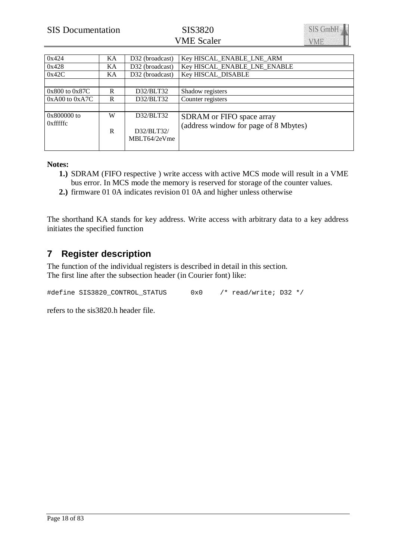# VME Scaler



| 0x424              | KA | D <sub>32</sub> (broadcast) | Key HISCAL_ENABLE_LNE_ARM             |
|--------------------|----|-----------------------------|---------------------------------------|
| 0x428              | KA | D <sub>32</sub> (broadcast) | Key HISCAL_ENABLE_LNE_ENABLE          |
| 0x42C              | KA | D32 (broadcast)             | Key HISCAL_DISABLE                    |
|                    |    |                             |                                       |
| $0x800$ to $0x87C$ | R  | D32/BLT32                   | Shadow registers                      |
| $0xA00$ to $0xA7C$ | R  | D32/BLT32                   | Counter registers                     |
|                    |    |                             |                                       |
| $0x800000$ to      | W  | D32/BLT32                   | SDRAM or FIFO space array             |
| $0x$ fffff $c$     | R  | D32/BLT32/<br>MBLT64/2eVme  | (address window for page of 8 Mbytes) |

**Notes:**

- **1.)** SDRAM (FIFO respective ) write access with active MCS mode will result in a VME bus error. In MCS mode the memory is reserved for storage of the counter values.
- **2.)** firmware 01 0A indicates revision 01 0A and higher unless otherwise

The shorthand KA stands for key address. Write access with arbitrary data to a key address initiates the specified function

### **7 Register description**

The function of the individual registers is described in detail in this section. The first line after the subsection header (in Courier font) like:

#define SIS3820\_CONTROL\_STATUS 0x0 /\* read/write; D32 \*/

refers to the sis3820.h header file.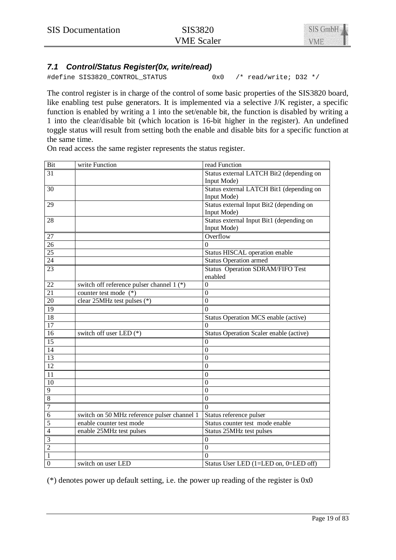

#### *7.1 Control/Status Register(0x, write/read)*

#define SIS3820 CONTROL STATUS 0x0 /\* read/write; D32 \*/

The control register is in charge of the control of some basic properties of the SIS3820 board, like enabling test pulse generators. It is implemented via a selective J/K register, a specific function is enabled by writing a 1 into the set/enable bit, the function is disabled by writing a 1 into the clear/disable bit (which location is 16-bit higher in the register). An undefined toggle status will result from setting both the enable and disable bits for a specific function at the same time.

On read access the same register represents the status register.

| <b>Bit</b>                | write Function                              | read Function                            |
|---------------------------|---------------------------------------------|------------------------------------------|
| 31                        |                                             | Status external LATCH Bit2 (depending on |
|                           |                                             | Input Mode)                              |
| 30                        |                                             | Status external LATCH Bit1 (depending on |
|                           |                                             | Input Mode)                              |
| 29                        |                                             | Status external Input Bit2 (depending on |
|                           |                                             | Input Mode)                              |
| 28                        |                                             | Status external Input Bit1 (depending on |
|                           |                                             | Input Mode)                              |
| 27                        |                                             | Overflow                                 |
| $\overline{26}$           |                                             | $\Omega$                                 |
| 25                        |                                             | Status HISCAL operation enable           |
| 24                        |                                             | <b>Status Operation armed</b>            |
| $\overline{23}$           |                                             | <b>Status Operation SDRAM/FIFO Test</b>  |
|                           |                                             | enabled                                  |
| 22                        | switch off reference pulser channel 1 (*)   | $\mathbf{0}$                             |
| $\overline{21}$           | counter test mode $(*)$                     | $\mathbf{0}$                             |
| 20                        | clear 25MHz test pulses (*)                 | $\mathbf{0}$                             |
| 19                        |                                             | $\Omega$                                 |
| 18                        |                                             | Status Operation MCS enable (active)     |
| 17                        |                                             | $\Omega$                                 |
| 16                        | switch off user LED (*)                     | Status Operation Scaler enable (active)  |
| $\overline{15}$           |                                             | $\mathbf{0}$                             |
| 14                        |                                             | $\overline{0}$                           |
| 13                        |                                             | $\mathbf{0}$                             |
| 12                        |                                             | $\mathbf{0}$                             |
| 11                        |                                             | $\boldsymbol{0}$                         |
| 10                        |                                             | $\overline{0}$                           |
| $\overline{9}$            |                                             | $\Omega$                                 |
| $\overline{8}$            |                                             | $\mathbf{0}$                             |
| $\overline{7}$            |                                             | $\Omega$                                 |
| $\overline{6}$            | switch on 50 MHz reference pulser channel 1 | Status reference pulser                  |
| 5                         | enable counter test mode                    | Status counter test mode enable          |
| $\overline{4}$            | enable 25MHz test pulses                    | Status 25MHz test pulses                 |
| $\overline{\overline{3}}$ |                                             | $\boldsymbol{0}$                         |
| $\overline{2}$            |                                             | $\overline{0}$                           |
| $\overline{1}$            |                                             | $\Omega$                                 |
| $\overline{0}$            | switch on user LED                          | Status User LED (1=LED on, 0=LED off)    |

(\*) denotes power up default setting, i.e. the power up reading of the register is 0x0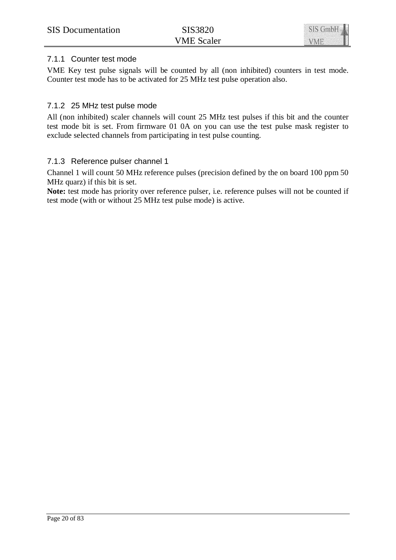#### 7.1.1 Counter test mode

VME Key test pulse signals will be counted by all (non inhibited) counters in test mode. Counter test mode has to be activated for 25 MHz test pulse operation also.

#### 7.1.2 25 MHz test pulse mode

All (non inhibited) scaler channels will count 25 MHz test pulses if this bit and the counter test mode bit is set. From firmware 01 0A on you can use the test pulse mask register to exclude selected channels from participating in test pulse counting.

#### 7.1.3 Reference pulser channel 1

Channel 1 will count 50 MHz reference pulses (precision defined by the on board 100 ppm 50 MHz quarz) if this bit is set.

**Note:** test mode has priority over reference pulser, i.e. reference pulses will not be counted if test mode (with or without 25 MHz test pulse mode) is active.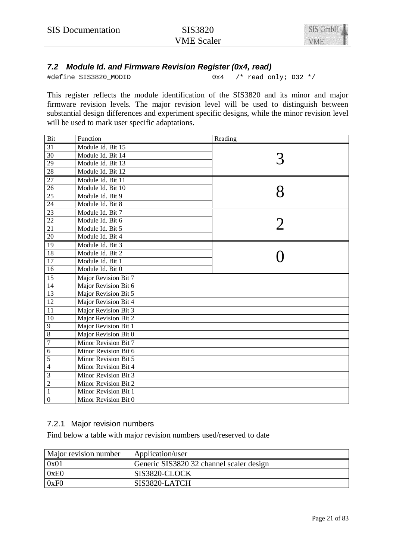#### *7.2 Module Id. and Firmware Revision Register (0x4, read)*

#define SIS3820\_MODID  $0x4$  /\* read only; D32 \*/

This register reflects the module identification of the SIS3820 and its minor and major firmware revision levels. The major revision level will be used to distinguish between substantial design differences and experiment specific designs, while the minor revision level will be used to mark user specific adaptations.

| <b>Bit</b>      | Function             | Reading |
|-----------------|----------------------|---------|
| $\overline{31}$ | Module Id. Bit 15    |         |
| 30              | Module Id. Bit 14    |         |
| 29              | Module Id. Bit 13    |         |
| 28              | Module Id. Bit 12    |         |
| 27              | Module Id. Bit 11    |         |
| 26              | Module Id. Bit 10    |         |
| 25              | Module Id. Bit 9     |         |
| 24              | Module Id. Bit 8     |         |
| $\overline{23}$ | Module Id. Bit 7     |         |
| $\overline{22}$ | Module Id. Bit 6     |         |
| 21              | Module Id. Bit 5     |         |
| 20              | Module Id. Bit 4     |         |
| 19              | Module Id. Bit 3     |         |
| 18              | Module Id. Bit 2     |         |
| 17              | Module Id. Bit 1     |         |
| $\overline{16}$ | Module Id. Bit 0     |         |
| 15              | Major Revision Bit 7 |         |
| 14              | Major Revision Bit 6 |         |
| $\overline{13}$ | Major Revision Bit 5 |         |
| 12              | Major Revision Bit 4 |         |
| 11              | Major Revision Bit 3 |         |
| 10              | Major Revision Bit 2 |         |
| $\overline{9}$  | Major Revision Bit 1 |         |
| $\overline{8}$  | Major Revision Bit 0 |         |
| $\overline{7}$  | Minor Revision Bit 7 |         |
| $\overline{6}$  | Minor Revision Bit 6 |         |
| 5               | Minor Revision Bit 5 |         |
| $\overline{4}$  | Minor Revision Bit 4 |         |
| $\overline{3}$  | Minor Revision Bit 3 |         |
| $\overline{c}$  | Minor Revision Bit 2 |         |
| $\overline{1}$  | Minor Revision Bit 1 |         |
| $\overline{0}$  | Minor Revision Bit 0 |         |

#### 7.2.1 Major revision numbers

Find below a table with major revision numbers used/reserved to date

| Major revision number | Application/user                         |
|-----------------------|------------------------------------------|
| 0x01                  | Generic SIS3820 32 channel scaler design |
| 0xE0                  | SIS3820-CLOCK                            |
| 0xF0                  | SIS3820-LATCH                            |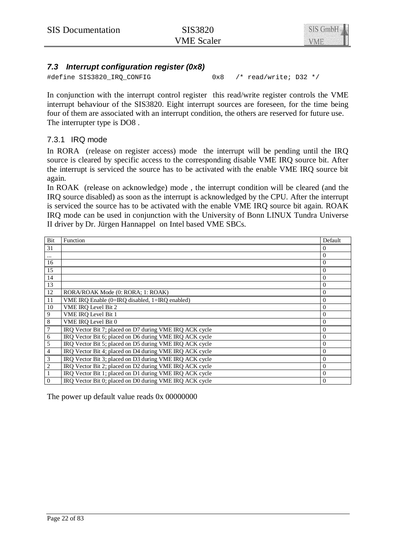#### *7.3 Interrupt configuration register (0x8)*

#define SIS3820 IRO CONFIG  $0x8$  /\* read/write; D32 \*/

In conjunction with the interrupt control register this read/write register controls the VME interrupt behaviour of the SIS3820. Eight interrupt sources are foreseen, for the time being four of them are associated with an interrupt condition, the others are reserved for future use. The interrupter type is DO8 .

#### 7.3.1 IRQ mode

In RORA (release on register access) mode the interrupt will be pending until the IRQ source is cleared by specific access to the corresponding disable VME IRQ source bit. After the interrupt is serviced the source has to be activated with the enable VME IRQ source bit again.

In ROAK (release on acknowledge) mode , the interrupt condition will be cleared (and the IRQ source disabled) as soon as the interrupt is acknowledged by the CPU. After the interrupt is serviced the source has to be activated with the enable VME IRQ source bit again. ROAK IRQ mode can be used in conjunction with the University of Bonn LINUX Tundra Universe II driver by Dr. Jürgen Hannappel on Intel based VME SBCs.

| Bit            | Function                                                | Default        |
|----------------|---------------------------------------------------------|----------------|
| 31             |                                                         | 0              |
| $\cdots$       |                                                         | $\overline{0}$ |
| 16             |                                                         | 0              |
| 15             |                                                         | $\overline{0}$ |
| 14             |                                                         | $\overline{0}$ |
| 13             |                                                         | $\overline{0}$ |
| 12             | RORA/ROAK Mode (0: RORA; 1: ROAK)                       | 0              |
| 11             | VME IRQ Enable (0=IRQ disabled, 1=IRQ enabled)          | $\overline{0}$ |
| 10             | VME IRO Level Bit 2                                     | $\overline{0}$ |
| 9              | VME IRQ Level Bit 1                                     | $\overline{0}$ |
| $\overline{8}$ | VME IRQ Level Bit 0                                     | $\overline{0}$ |
| $\overline{7}$ | IRO Vector Bit 7; placed on D7 during VME IRO ACK cycle | $\theta$       |
| $\sqrt{6}$     | IRQ Vector Bit 6; placed on D6 during VME IRQ ACK cycle | $\overline{0}$ |
| 5              | IRQ Vector Bit 5; placed on D5 during VME IRQ ACK cycle | $\overline{0}$ |
| $\overline{4}$ | IRQ Vector Bit 4; placed on D4 during VME IRQ ACK cycle | $\overline{0}$ |
| $\overline{3}$ | IRQ Vector Bit 3; placed on D3 during VME IRQ ACK cycle | $\overline{0}$ |
| $\overline{2}$ | IRQ Vector Bit 2; placed on D2 during VME IRQ ACK cycle | $\overline{0}$ |
| $\mathbf{1}$   | IRQ Vector Bit 1; placed on D1 during VME IRQ ACK cycle | $\overline{0}$ |
| $\overline{0}$ | IRQ Vector Bit 0; placed on D0 during VME IRQ ACK cycle | $\mathbf{0}$   |

The power up default value reads 0x 00000000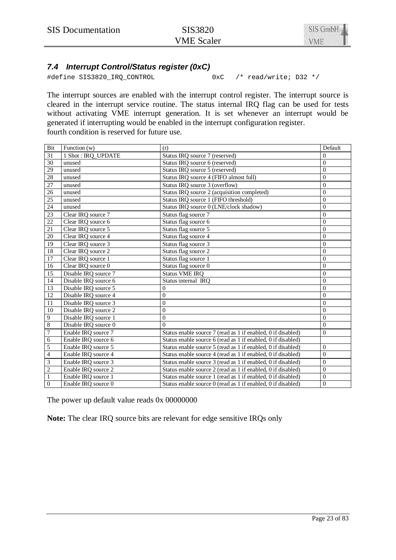

#### *7.4 Interrupt Control/Status register (0xC)*

#define SIS3820 IRO CONTROL 0xC /\* read/write; D32 \*/

The interrupt sources are enabled with the interrupt control register. The interrupt source is cleared in the interrupt service routine. The status internal IRQ flag can be used for tests without activating VME interrupt generation. It is set whenever an interrupt would be generated if interrupting would be enabled in the interrupt configuration register. fourth condition is reserved for future use.

| Bit             | Function $(w)$       | (r)                                                          | Default          |
|-----------------|----------------------|--------------------------------------------------------------|------------------|
| 31              | 1 Shot: IRQ_UPDATE   | Status IRO source 7 (reserved)                               | $\overline{0}$   |
| 30              | unused               | Status IRO source 6 (reserved)                               | $\theta$         |
| 29              | unused               | Status IRQ source 5 (reserved)                               | $\overline{0}$   |
| 28              | unused               | Status IRQ source 4 (FIFO almost full)                       | $\mathbf{0}$     |
| $\overline{27}$ | unused               | Status IRO source 3 (overflow)                               | $\overline{0}$   |
| 26              | unused               | Status IRQ source 2 (acquisition completed)                  | $\overline{0}$   |
| 25              | unused               | Status IRQ source 1 (FIFO threshold)                         | $\overline{0}$   |
| 24              | unused               | Status IRQ source 0 (LNE/clock shadow)                       | $\mathbf{0}$     |
| 23              | Clear IRO source 7   | Status flag source 7                                         | $\theta$         |
| 22              | Clear IRO source 6   | Status flag source 6                                         | $\theta$         |
| 21              | Clear IRO source 5   | Status flag source 5                                         | $\overline{0}$   |
| 20              | Clear IRQ source 4   | Status flag source 4                                         | $\Omega$         |
| 19              | Clear IRQ source 3   | Status flag source 3                                         | $\overline{0}$   |
| 18              | Clear IRO source 2   | Status flag source 2                                         | $\theta$         |
| 17              | Clear IRQ source 1   | Status flag source 1                                         | $\theta$         |
| 16              | Clear IRQ source 0   | Status flag source 0                                         | $\theta$         |
| 15              | Disable IRO source 7 | <b>Status VME IRQ</b>                                        | $\overline{0}$   |
| 14              | Disable IRO source 6 | Status internal IRQ                                          | $\theta$         |
| 13              | Disable IRQ source 5 | $\Omega$                                                     | $\theta$         |
| 12              | Disable IRQ source 4 | $\theta$                                                     | $\overline{0}$   |
| 11              | Disable IRO source 3 | $\overline{0}$                                               | $\overline{0}$   |
| 10              | Disable IRQ source 2 | $\Omega$                                                     | $\overline{0}$   |
| 9               | Disable IRQ source 1 | $\Omega$                                                     | $\theta$         |
| $\overline{8}$  | Disable IRQ source 0 | $\theta$                                                     | $\theta$         |
| $\tau$          | Enable IRO source 7  | Status enable source 7 (read as 1 if enabled, 0 if disabled) | $\mathbf{0}$     |
| $\overline{6}$  | Enable IRQ source 6  | Status enable source 6 (read as 1 if enabled, 0 if disabled) |                  |
| 5               | Enable IRQ source 5  | Status enable source 5 (read as 1 if enabled, 0 if disabled) | $\overline{0}$   |
| $\overline{4}$  | Enable IRQ source 4  | Status enable source 4 (read as 1 if enabled, 0 if disabled) | $\overline{0}$   |
| 3               | Enable IRO source 3  | Status enable source 3 (read as 1 if enabled, 0 if disabled) | $\theta$         |
| $\overline{2}$  | Enable IRQ source 2  | Status enable source 2 (read as 1 if enabled, 0 if disabled) | $\Omega$         |
| $\mathbf 1$     | Enable IRQ source 1  | Status enable source 1 (read as 1 if enabled, 0 if disabled) | $\overline{0}$   |
| $\overline{0}$  | Enable IRQ source 0  | Status enable source 0 (read as 1 if enabled, 0 if disabled) | $\boldsymbol{0}$ |

The power up default value reads 0x 00000000

**Note:** The clear IRQ source bits are relevant for edge sensitive IRQs only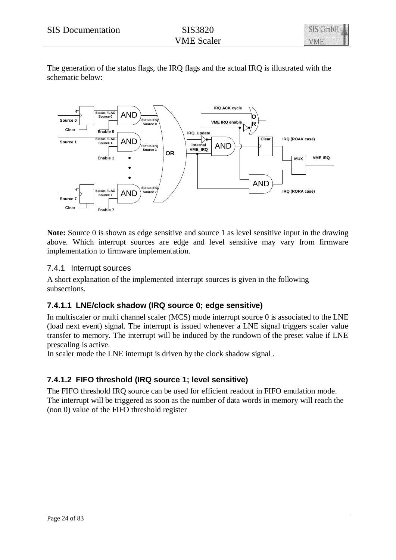The generation of the status flags, the IRQ flags and the actual IRQ is illustrated with the schematic below:



**Note:** Source 0 is shown as edge sensitive and source 1 as level sensitive input in the drawing above. Which interrupt sources are edge and level sensitive may vary from firmware implementation to firmware implementation.

#### 7.4.1 Interrupt sources

A short explanation of the implemented interrupt sources is given in the following subsections.

#### **7.4.1.1 LNE/clock shadow (IRQ source 0; edge sensitive)**

In multiscaler or multi channel scaler (MCS) mode interrupt source 0 is associated to the LNE (load next event) signal. The interrupt is issued whenever a LNE signal triggers scaler value transfer to memory. The interrupt will be induced by the rundown of the preset value if LNE prescaling is active.

In scaler mode the LNE interrupt is driven by the clock shadow signal .

#### **7.4.1.2 FIFO threshold (IRQ source 1; level sensitive)**

The FIFO threshold IRQ source can be used for efficient readout in FIFO emulation mode. The interrupt will be triggered as soon as the number of data words in memory will reach the (non 0) value of the FIFO threshold register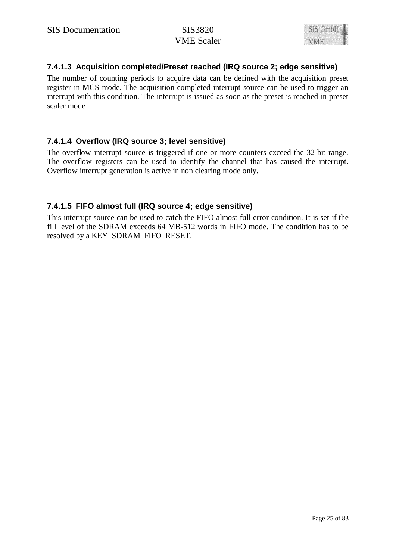#### **7.4.1.3 Acquisition completed/Preset reached (IRQ source 2; edge sensitive)**

The number of counting periods to acquire data can be defined with the acquisition preset register in MCS mode. The acquisition completed interrupt source can be used to trigger an interrupt with this condition. The interrupt is issued as soon as the preset is reached in preset scaler mode

#### **7.4.1.4 Overflow (IRQ source 3; level sensitive)**

The overflow interrupt source is triggered if one or more counters exceed the 32-bit range. The overflow registers can be used to identify the channel that has caused the interrupt. Overflow interrupt generation is active in non clearing mode only.

#### **7.4.1.5 FIFO almost full (IRQ source 4; edge sensitive)**

This interrupt source can be used to catch the FIFO almost full error condition. It is set if the fill level of the SDRAM exceeds 64 MB-512 words in FIFO mode. The condition has to be resolved by a KEY\_SDRAM\_FIFO\_RESET.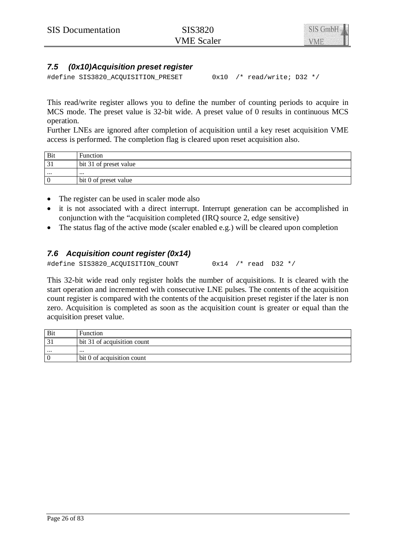

#### *7.5 (0x10)Acquisition preset register*

#define SIS3820\_ACQUISITION\_PRESET 0x10 /\* read/write; D32 \*/

This read/write register allows you to define the number of counting periods to acquire in MCS mode. The preset value is 32-bit wide. A preset value of 0 results in continuous MCS operation.

Further LNEs are ignored after completion of acquisition until a key reset acquisition VME access is performed. The completion flag is cleared upon reset acquisition also.

| Bit                 | <b>Function</b>        |
|---------------------|------------------------|
| 2 <sup>1</sup>      | bit 31 of preset value |
| $\cdot \cdot \cdot$ | $\cdot \cdot \cdot$    |
|                     | bit 0 of preset value  |

- The register can be used in scaler mode also
- it is not associated with a direct interrupt. Interrupt generation can be accomplished in conjunction with the "acquisition completed (IRQ source 2, edge sensitive)
- $\bullet$  The status flag of the active mode (scaler enabled e.g.) will be cleared upon completion

#### *7.6 Acquisition count register (0x14)*

#define SIS3820 ACOUISITION COUNT 0x14 /\* read D32 \*/

This 32-bit wide read only register holds the number of acquisitions. It is cleared with the start operation and incremented with consecutive LNE pulses. The contents of the acquisition count register is compared with the contents of the acquisition preset register if the later is non zero. Acquisition is completed as soon as the acquisition count is greater or equal than the acquisition preset value.

| Bit      | <b>Function</b>             |
|----------|-----------------------------|
|          | bit 31 of acquisition count |
| $\cdots$ | $\cdots$                    |
|          | bit 0 of acquisition count  |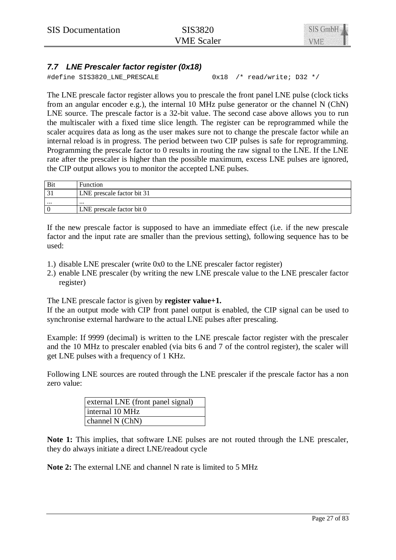

#### *7.7 LNE Prescaler factor register (0x18)*

#define SIS3820 LNE PRESCALE 0x18 /\* read/write; D32 \*/

The LNE prescale factor register allows you to prescale the front panel LNE pulse (clock ticks from an angular encoder e.g.), the internal 10 MHz pulse generator or the channel N (ChN) LNE source. The prescale factor is a 32-bit value. The second case above allows you to run the multiscaler with a fixed time slice length. The register can be reprogrammed while the scaler acquires data as long as the user makes sure not to change the prescale factor while an internal reload is in progress. The period between two CIP pulses is safe for reprogramming. Programming the prescale factor to 0 results in routing the raw signal to the LNE. If the LNE rate after the prescaler is higher than the possible maximum, excess LNE pulses are ignored, the CIP output allows you to monitor the accepted LNE pulses.

| Bit            | Function                   |
|----------------|----------------------------|
|                | LNE prescale factor bit 31 |
| $\cdots$       | $\cdots$                   |
| $\overline{0}$ | LNE prescale factor bit 0  |

If the new prescale factor is supposed to have an immediate effect (i.e. if the new prescale factor and the input rate are smaller than the previous setting), following sequence has to be used:

- 1.) disable LNE prescaler (write 0x0 to the LNE prescaler factor register)
- 2.) enable LNE prescaler (by writing the new LNE prescale value to the LNE prescaler factor register)

The LNE prescale factor is given by **register value+1.**

If the an output mode with CIP front panel output is enabled, the CIP signal can be used to synchronise external hardware to the actual LNE pulses after prescaling.

Example: If 9999 (decimal) is written to the LNE prescale factor register with the prescaler and the 10 MHz to prescaler enabled (via bits 6 and 7 of the control register), the scaler will get LNE pulses with a frequency of 1 KHz.

Following LNE sources are routed through the LNE prescaler if the prescale factor has a non zero value:

| external LNE (front panel signal) |
|-----------------------------------|
| internal 10 MHz                   |
| channel N (ChN)                   |

**Note 1:** This implies, that software LNE pulses are not routed through the LNE prescaler, they do always initiate a direct LNE/readout cycle

**Note 2:** The external LNE and channel N rate is limited to 5 MHz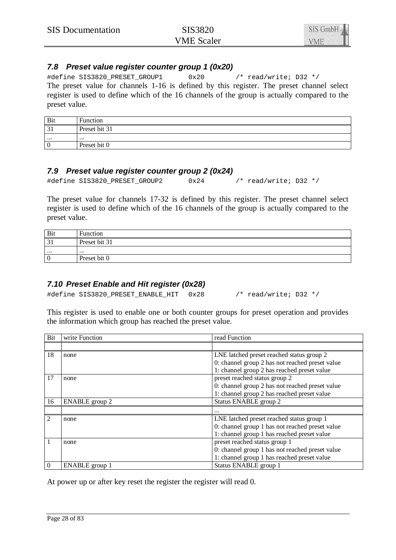#### *7.8 Preset value register counter group 1 (0x20)*

#define SIS3820\_PRESET\_GROUP1 0x20 /\* read/write; D32 \*/ The preset value for channels 1-16 is defined by this register. The preset channel select register is used to define which of the 16 channels of the group is actually compared to the preset value.

| <b>Bit</b>             | Function      |
|------------------------|---------------|
| $\cdot$ $\sim$<br>- 21 | Preset bit 31 |
| $\cdots$               | .             |
| $\overline{0}$         | Preset bit 0  |

#### *7.9 Preset value register counter group 2 (0x24)*

#define SIS3820\_PRESET\_GROUP2 0x24 /\* read/write; D32 \*/

The preset value for channels 17-32 is defined by this register. The preset channel select register is used to define which of the 16 channels of the group is actually compared to the preset value.

| Bit      | Function      |
|----------|---------------|
| 31       | Preset bit 31 |
| $\cdots$ | $\cdots$      |
|          | Preset bit 0  |

#### *7.10 Preset Enable and Hit register (0x28)*

#define SIS3820 PRESET ENABLE HIT 0x28 /\* read/write; D32 \*/

This register is used to enable one or both counter groups for preset operation and provides the information which group has reached the preset value.

| Bit            | write Function        | read Function                                   |
|----------------|-----------------------|-------------------------------------------------|
|                |                       |                                                 |
| 18             | none                  | LNE latched preset reached status group 2       |
|                |                       | 0: channel group 2 has not reached preset value |
|                |                       | 1: channel group 2 has reached preset value     |
| 17             | none                  | preset reached status group 2                   |
|                |                       | 0: channel group 2 has not reached preset value |
|                |                       | 1: channel group 2 has reached preset value     |
| 16             | <b>ENABLE</b> group 2 | Status ENABLE group 2                           |
|                |                       | $\cdots$                                        |
| $\mathfrak{D}$ | none                  | LNE latched preset reached status group 1       |
|                |                       | 0: channel group 1 has not reached preset value |
|                |                       | 1: channel group 1 has reached preset value     |
|                | none                  | preset reached status group 1                   |
|                |                       | 0: channel group 1 has not reached preset value |
|                |                       | 1: channel group 1 has reached preset value     |
| $\Omega$       | <b>ENABLE</b> group 1 | Status ENABLE group 1                           |

At power up or after key reset the register the register will read 0.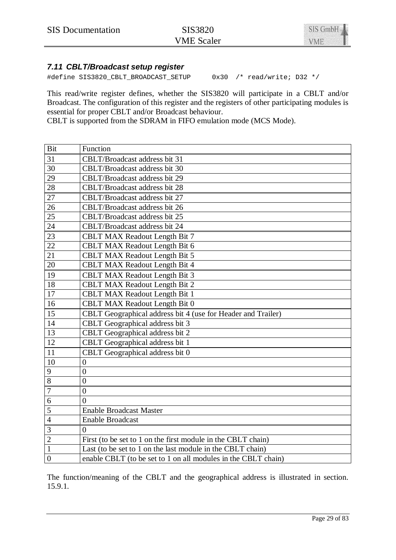

### *7.11 CBLT/Broadcast setup register*

#define SIS3820 CBLT BROADCAST SETUP 0x30 /\* read/write; D32 \*/

This read/write register defines, whether the SIS3820 will participate in a CBLT and/or Broadcast. The configuration of this register and the registers of other participating modules is essential for proper CBLT and/or Broadcast behaviour.

CBLT is supported from the SDRAM in FIFO emulation mode (MCS Mode).

| Bit             | Function                                                      |
|-----------------|---------------------------------------------------------------|
| 31              | CBLT/Broadcast address bit 31                                 |
| 30              | CBLT/Broadcast address bit 30                                 |
| 29              | CBLT/Broadcast address bit 29                                 |
| 28              | CBLT/Broadcast address bit 28                                 |
| 27              | CBLT/Broadcast address bit 27                                 |
| 26              | CBLT/Broadcast address bit 26                                 |
| 25              | CBLT/Broadcast address bit 25                                 |
| 24              | CBLT/Broadcast address bit 24                                 |
| $\overline{23}$ | <b>CBLT MAX Readout Length Bit 7</b>                          |
| $\overline{22}$ | <b>CBLT MAX Readout Length Bit 6</b>                          |
| $\overline{21}$ | <b>CBLT MAX Readout Length Bit 5</b>                          |
| 20              | <b>CBLT MAX Readout Length Bit 4</b>                          |
| 19              | <b>CBLT MAX Readout Length Bit 3</b>                          |
| 18              | <b>CBLT MAX Readout Length Bit 2</b>                          |
| 17              | <b>CBLT MAX Readout Length Bit 1</b>                          |
| 16              | CBLT MAX Readout Length Bit 0                                 |
| 15              | CBLT Geographical address bit 4 (use for Header and Trailer)  |
| 14              | CBLT Geographical address bit 3                               |
| 13              | CBLT Geographical address bit 2                               |
| 12              | CBLT Geographical address bit 1                               |
| 11              | CBLT Geographical address bit 0                               |
| 10              | $\overline{0}$                                                |
| 9               | $\overline{0}$                                                |
| $\overline{8}$  | $\overline{0}$                                                |
| $\overline{7}$  | $\overline{0}$                                                |
| 6               | $\theta$                                                      |
| 5               | <b>Enable Broadcast Master</b>                                |
| $\overline{4}$  | <b>Enable Broadcast</b>                                       |
| 3               | $\overline{0}$                                                |
| $\overline{2}$  | First (to be set to 1 on the first module in the CBLT chain)  |
| $\overline{1}$  | Last (to be set to 1 on the last module in the CBLT chain)    |
| $\overline{0}$  | enable CBLT (to be set to 1 on all modules in the CBLT chain) |

The function/meaning of the CBLT and the geographical address is illustrated in section. 15.9.1.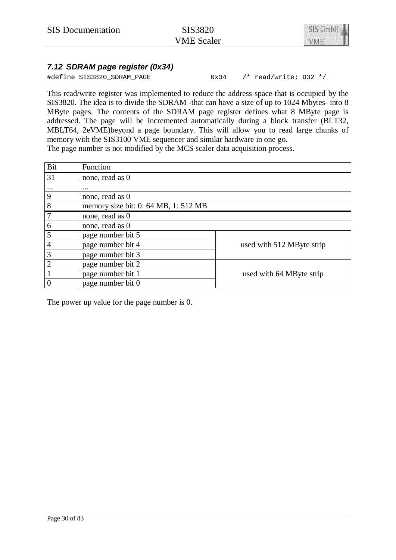

### *7.12 SDRAM page register (0x34)*

#define SIS3820 SDRAM PAGE  $0x34$  /\* read/write; D32 \*/

This read/write register was implemented to reduce the address space that is occupied by the SIS3820. The idea is to divide the SDRAM -that can have a size of up to 1024 Mbytes- into 8 MByte pages. The contents of the SDRAM page register defines what 8 MByte page is addressed. The page will be incremented automatically during a block transfer (BLT32, MBLT64, 2eVME)beyond a page boundary. This will allow you to read large chunks of memory with the SIS3100 VME sequencer and similar hardware in one go.

The page number is not modified by the MCS scaler data acquisition process.

| <b>Bit</b>      | Function                             |                           |
|-----------------|--------------------------------------|---------------------------|
| $\overline{31}$ | none, read as 0                      |                           |
| $\ldots$        | $\cdots$                             |                           |
| 9               | none, read as 0                      |                           |
| 8               | memory size bit: 0: 64 MB, 1: 512 MB |                           |
| 7               | none, read as 0                      |                           |
| 6               | none, read as 0                      |                           |
| $\overline{5}$  | page number bit 5                    |                           |
| $\overline{4}$  | page number bit 4                    | used with 512 MByte strip |
| $\frac{3}{2}$   | page number bit 3                    |                           |
|                 | page number bit 2                    |                           |
| $\vert$ 1       | page number bit 1                    | used with 64 MByte strip  |
| $\overline{0}$  | page number bit 0                    |                           |

The power up value for the page number is 0.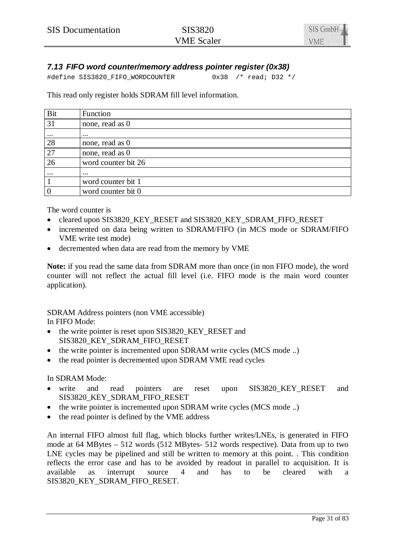#### *7.13 FIFO word counter/memory address pointer register (0x38)*

#define SIS3820 FIFO WORDCOUNTER 0x38 /\* read; D32 \*/

This read only register holds SDRAM fill level information.

| <b>Bit</b>      | Function            |
|-----------------|---------------------|
| $\overline{31}$ | none, read as 0     |
| $\cdots$        | $\cdots$            |
| 28              | none, read as 0     |
| $\overline{27}$ | none, read as 0     |
| 26              | word counter bit 26 |
| $\cdots$        | $\cdots$            |
|                 | word counter bit 1  |
| $\overline{0}$  | word counter bit 0  |

The word counter is

- x cleared upon SIS3820\_KEY\_RESET and SIS3820\_KEY\_SDRAM\_FIFO\_RESET
- incremented on data being written to SDRAM/FIFO (in MCS mode or SDRAM/FIFO VME write test mode)
- decremented when data are read from the memory by VME

**Note:** if you read the same data from SDRAM more than once (in non FIFO mode), the word counter will not reflect the actual fill level (i.e. FIFO mode is the main word counter application).

SDRAM Address pointers (non VME accessible)

In FIFO Mode:

- the write pointer is reset upon SIS3820 KEY\_RESET and SIS3820\_KEY\_SDRAM\_FIFO\_RESET
- $\bullet$  the write pointer is incremented upon SDRAM write cycles (MCS mode ..)
- the read pointer is decremented upon SDRAM VME read cycles

In SDRAM Mode:

- write and read pointers are reset upon SIS3820\_KEY\_RESET and SIS3820\_KEY\_SDRAM\_FIFO\_RESET
- the write pointer is incremented upon SDRAM write cycles (MCS mode ..)
- the read pointer is defined by the VME address

An internal FIFO almost full flag, which blocks further writes/LNEs, is generated in FIFO mode at 64 MBytes – 512 words (512 MBytes- 512 words respective). Data from up to two LNE cycles may be pipelined and still be written to memory at this point. . This condition reflects the error case and has to be avoided by readout in parallel to acquisition. It is available as interrupt source 4 and has to be cleared with a SIS3820\_KEY\_SDRAM\_FIFO\_RESET.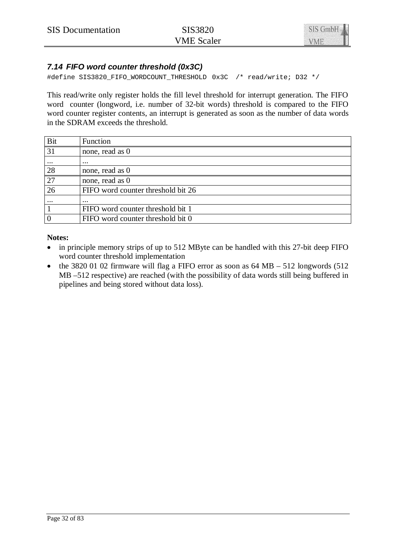

#### *7.14 FIFO word counter threshold (0x3C)*

#define SIS3820 FIFO WORDCOUNT THRESHOLD 0x3C /\* read/write; D32 \*/

This read/write only register holds the fill level threshold for interrupt generation. The FIFO word counter (longword, i.e. number of 32-bit words) threshold is compared to the FIFO word counter register contents, an interrupt is generated as soon as the number of data words in the SDRAM exceeds the threshold.

| Bit            | Function                           |
|----------------|------------------------------------|
| 31             | none, read as 0                    |
| $\cdots$       | $\cdots$                           |
| 28             | none, read as 0                    |
| 27             | none, read as 0                    |
| 26             | FIFO word counter threshold bit 26 |
| $\cdots$       | $\cdot \cdot \cdot$                |
| $\overline{1}$ | FIFO word counter threshold bit 1  |
| $\overline{0}$ | FIFO word counter threshold bit 0  |

#### **Notes:**

- $\bullet$  in principle memory strips of up to 512 MByte can be handled with this 27-bit deep FIFO word counter threshold implementation
- the 3820 01 02 firmware will flag a FIFO error as soon as  $64 \text{ MB} 512$  longwords (512) MB –512 respective) are reached (with the possibility of data words still being buffered in pipelines and being stored without data loss).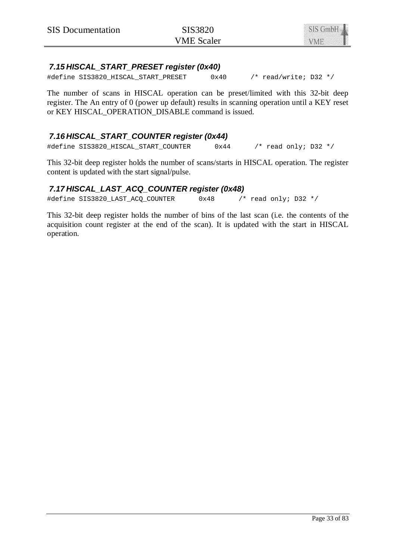#### *7.15 HISCAL\_START\_PRESET register (0x40)*

#define SIS3820 HISCAL START PRESET 0x40 /\* read/write; D32 \*/

The number of scans in HISCAL operation can be preset/limited with this 32-bit deep register. The An entry of 0 (power up default) results in scanning operation until a KEY reset or KEY HISCAL\_OPERATION\_DISABLE command is issued.

#### *7.16 HISCAL\_START\_COUNTER register (0x44)*

#define SIS3820\_HISCAL\_START\_COUNTER 0x44 /\* read only; D32 \*/

This 32-bit deep register holds the number of scans/starts in HISCAL operation. The register content is updated with the start signal/pulse.

#### *7.17 HISCAL\_LAST\_ACQ\_COUNTER register (0x48)*

#define SIS3820 LAST ACQ COUNTER 0x48 /\* read only; D32 \*/

This 32-bit deep register holds the number of bins of the last scan (i.e. the contents of the acquisition count register at the end of the scan). It is updated with the start in HISCAL operation.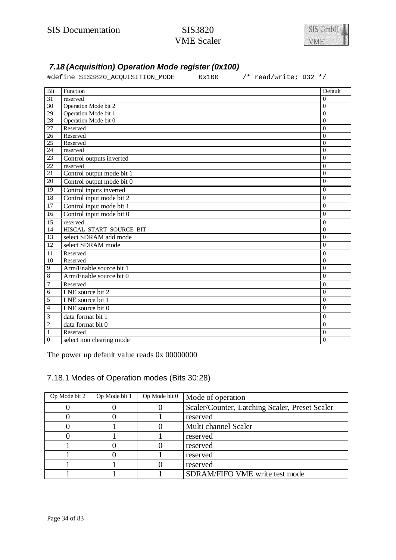

## *7.18 (Acquisition) Operation Mode register (0x100)*

#define SIS3820\_ACQUISITION\_MODE 0x100 /\* read/write; D32 \*/

| Bit             | Function                  | Default          |
|-----------------|---------------------------|------------------|
| $\overline{31}$ | reserved                  | $\overline{0}$   |
| 30              | Operation Mode bit 2      | $\theta$         |
| 29              | Operation Mode bit 1      | $\overline{0}$   |
| 28              | Operation Mode bit 0      | $\overline{0}$   |
| 27              | Reserved                  | $\boldsymbol{0}$ |
| 26              | Reserved                  | $\boldsymbol{0}$ |
| $\overline{25}$ | Reserved                  | $\overline{0}$   |
| 24              | reserved                  | $\boldsymbol{0}$ |
| 23              | Control outputs inverted  | $\overline{0}$   |
| 22              | reserved                  | $\overline{0}$   |
| $\overline{21}$ | Control output mode bit 1 | $\theta$         |
| $\overline{20}$ | Control output mode bit 0 | $\overline{0}$   |
| 19              | Control inputs inverted   | $\mathbf{0}$     |
| 18              | Control input mode bit 2  | $\overline{0}$   |
| 17              | Control input mode bit 1  | $\overline{0}$   |
| 16              | Control input mode bit 0  | $\theta$         |
| 15              | reserved                  | $\theta$         |
| 14              | HISCAL_START_SOURCE_BIT   | $\theta$         |
| 13              | select SDRAM add mode     | $\overline{0}$   |
| 12              | select SDRAM mode         | $\overline{0}$   |
| 11              | Reserved                  | $\theta$         |
| 10              | Reserved                  | $\theta$         |
| 9               | Arm/Enable source bit 1   | $\overline{0}$   |
| 8               | Arm/Enable source bit 0   | $\theta$         |
| $\overline{7}$  | Reserved                  | $\theta$         |
| 6               | LNE source bit 2          | $\overline{0}$   |
| 5               | LNE source bit 1          | $\mathbf{0}$     |
| $\overline{4}$  | LNE source bit 0          | $\theta$         |
| $\mathfrak{Z}$  | data format bit 1         | $\overline{0}$   |
| $\overline{c}$  | data format bit 0         | $\overline{0}$   |
| $\mathbf{1}$    | Reserved                  | $\theta$         |
| $\overline{0}$  | select non clearing mode  | $\overline{0}$   |

The power up default value reads 0x 00000000

## 7.18.1 Modes of Operation modes (Bits 30:28)

| Op Mode bit 2 | Op Mode bit 1 | Op Mode bit 0 | Mode of operation                              |
|---------------|---------------|---------------|------------------------------------------------|
|               |               |               | Scaler/Counter, Latching Scaler, Preset Scaler |
|               |               |               | reserved                                       |
|               |               |               | Multi channel Scaler                           |
|               |               |               | reserved                                       |
|               |               |               | reserved                                       |
|               |               |               | reserved                                       |
|               |               |               | reserved                                       |
|               |               |               | SDRAM/FIFO VME write test mode                 |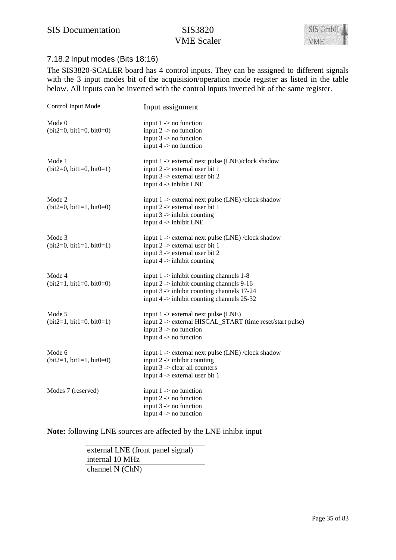

#### 7.18.2 Input modes (Bits 18:16)

The SIS3820-SCALER board has 4 control inputs. They can be assigned to different signals with the 3 input modes bit of the acquisision/operation mode register as listed in the table below. All inputs can be inverted with the control inputs inverted bit of the same register.

| Control Input Mode                   | Input assignment                                                                                                                                                                                                   |
|--------------------------------------|--------------------------------------------------------------------------------------------------------------------------------------------------------------------------------------------------------------------|
| Mode 0<br>$(bit2=0, bit1=0, bit0=0)$ | input $1 \rightarrow$ no function<br>input $2 \rightarrow$ no function<br>input $3 \rightarrow$ no function<br>input $4 \rightarrow$ no function                                                                   |
| Mode 1<br>$(bit2=0, bit1=0, bit0=1)$ | input 1 -> external next pulse (LNE)/clock shadow<br>input $2$ -> external user bit 1<br>input $3 \rightarrow$ external user bit 2<br>input $4 \rightarrow$ inhibit LNE                                            |
| Mode 2<br>$(bit2=0, bit1=1, bit0=0)$ | input $1 \rightarrow$ external next pulse (LNE) /clock shadow<br>input $2$ -> external user bit 1<br>input $3 \rightarrow$ inhibit counting<br>input $4 \rightarrow$ inhibit LNE                                   |
| Mode 3<br>$(bit2=0, bit1=1, bit0=1)$ | input 1 -> external next pulse (LNE)/clock shadow<br>input $2$ -> external user bit 1<br>input $3 \rightarrow$ external user bit 2<br>input $4 \rightarrow$ inhibit counting                                       |
| Mode 4<br>$(bit2=1, bit1=0, bit0=0)$ | input $1 \rightarrow$ inhibit counting channels 1-8<br>input $2 \rightarrow$ inhibit counting channels 9-16<br>input $3 \rightarrow$ inhibit counting channels 17-24<br>input 4 -> inhibit counting channels 25-32 |
| Mode 5<br>$(bit2=1, bit1=0, bit0=1)$ | input $1$ -> external next pulse (LNE)<br>input 2 -> external HISCAL_START (time reset/start pulse)<br>input $3 \rightarrow$ no function<br>input $4 \rightarrow$ no function                                      |
| Mode 6<br>$(bit2=1, bit1=1, bit0=0)$ | input $1 \rightarrow$ external next pulse (LNE) /clock shadow<br>input $2 \rightarrow$ inhibit counting<br>input $3 \rightarrow$ clear all counters<br>input $4$ -> external user bit 1                            |
| Modes 7 (reserved)                   | input $1 \rightarrow$ no function<br>input $2 \rightarrow$ no function<br>input $3 \rightarrow$ no function<br>input $4$ -> no function                                                                            |

**Note:** following LNE sources are affected by the LNE inhibit input

| external LNE (front panel signal) |
|-----------------------------------|
| internal 10 MHz                   |
| channel N (ChN)                   |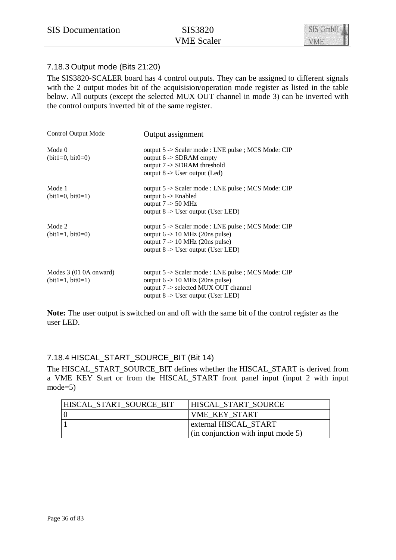#### 7.18.3 Output mode (Bits 21:20)

The SIS3820-SCALER board has 4 control outputs. They can be assigned to different signals with the 2 output modes bit of the acquisision/operation mode register as listed in the table below. All outputs (except the selected MUX OUT channel in mode 3) can be inverted with the control outputs inverted bit of the same register.

| Control Output Mode                          | Output assignment                                                                                                                                                                          |
|----------------------------------------------|--------------------------------------------------------------------------------------------------------------------------------------------------------------------------------------------|
| Mode 0<br>$(bit1=0, bit0=0)$                 | output 5 -> Scaler mode : LNE pulse ; MCS Mode: CIP<br>output 6 -> SDRAM empty<br>output 7 -> SDRAM threshold<br>output $8 \rightarrow$ User output (Led)                                  |
| Mode 1<br>$(bit1=0, bit0=1)$                 | output 5 -> Scaler mode : LNE pulse ; MCS Mode: CIP<br>output $6 \rightarrow$ Enabled<br>output $7 \div 50$ MHz<br>output $8 \rightarrow$ User output (User LED)                           |
| Mode 2<br>$(bit1=1, bit0=0)$                 | output 5 -> Scaler mode : LNE pulse ; MCS Mode: CIP<br>output $6 \rightarrow 10$ MHz (20ns pulse)<br>output $7 \div 10$ MHz (20ns pulse)<br>output $8 \rightarrow$ User output (User LED)  |
| Modes 3 (01 0A onward)<br>$(bit1=1, bit0=1)$ | output 5 -> Scaler mode : LNE pulse ; MCS Mode: CIP<br>output $6 \rightarrow 10$ MHz (20ns pulse)<br>output 7 -> selected MUX OUT channel<br>output $8 \rightarrow$ User output (User LED) |

**Note:** The user output is switched on and off with the same bit of the control register as the user LED.

#### 7.18.4 HISCAL\_START\_SOURCE\_BIT (Bit 14)

The HISCAL\_START\_SOURCE\_BIT defines whether the HISCAL\_START is derived from a VME KEY Start or from the HISCAL\_START front panel input (input 2 with input mode=5)

| HISCAL_START_SOURCE_BIT | HISCAL START SOURCE                       |
|-------------------------|-------------------------------------------|
|                         | <b>VME KEY START</b>                      |
|                         | external HISCAL_START                     |
|                         | $\int$ (in conjunction with input mode 5) |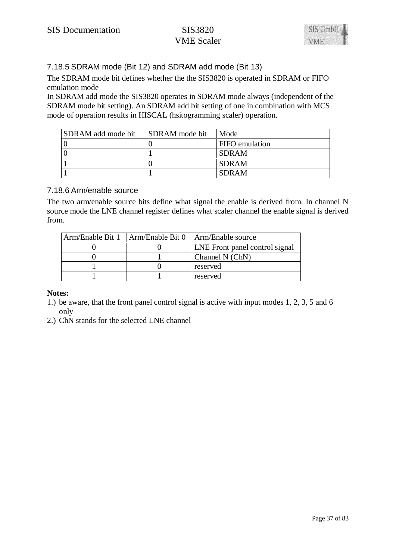#### 7.18.5 SDRAM mode (Bit 12) and SDRAM add mode (Bit 13)

The SDRAM mode bit defines whether the the SIS3820 is operated in SDRAM or FIFO emulation mode

In SDRAM add mode the SIS3820 operates in SDRAM mode always (independent of the SDRAM mode bit setting). An SDRAM add bit setting of one in combination with MCS mode of operation results in HISCAL (hsitogramming scaler) operation.

| SDRAM add mode bit | <b>SDRAM</b> mode bit | Mode                  |
|--------------------|-----------------------|-----------------------|
|                    |                       | <b>FIFO</b> emulation |
|                    |                       | <b>SDRAM</b>          |
|                    |                       | <b>SDRAM</b>          |
|                    |                       | <b>SDRAM</b>          |

#### 7.18.6 Arm/enable source

The two arm/enable source bits define what signal the enable is derived from. In channel N source mode the LNE channel register defines what scaler channel the enable signal is derived from.

|  | Arm/Enable Bit 1   Arm/Enable Bit 0   Arm/Enable source |
|--|---------------------------------------------------------|
|  | LNE Front panel control signal                          |
|  | Channel N (ChN)                                         |
|  | reserved                                                |
|  | reserved                                                |

#### **Notes:**

- 1.) be aware, that the front panel control signal is active with input modes 1, 2, 3, 5 and 6 only
- 2.) ChN stands for the selected LNE channel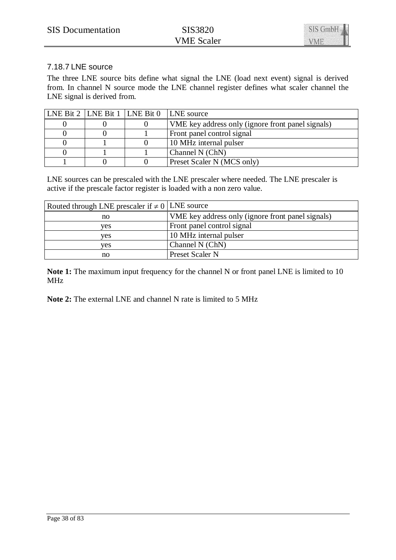VME Scaler



#### 7.18.7 LNE source

The three LNE source bits define what signal the LNE (load next event) signal is derived from. In channel N source mode the LNE channel register defines what scaler channel the LNE signal is derived from.

|  | $LNE$ Bit 2   LNE Bit 1   LNE Bit 0   LNE source  |
|--|---------------------------------------------------|
|  | VME key address only (ignore front panel signals) |
|  | Front panel control signal                        |
|  | 10 MHz internal pulser                            |
|  | Channel N (ChN)                                   |
|  | Preset Scaler N (MCS only)                        |

LNE sources can be prescaled with the LNE prescaler where needed. The LNE prescaler is active if the prescale factor register is loaded with a non zero value.

| Routed through LNE prescaler if $\neq 0$   LNE source |                                                   |
|-------------------------------------------------------|---------------------------------------------------|
| no                                                    | VME key address only (ignore front panel signals) |
| ves                                                   | Front panel control signal                        |
| yes                                                   | 10 MHz internal pulser                            |
| yes                                                   | Channel N (ChN)                                   |
| no                                                    | Preset Scaler N                                   |

**Note 1:** The maximum input frequency for the channel N or front panel LNE is limited to 10 MHz

**Note 2:** The external LNE and channel N rate is limited to 5 MHz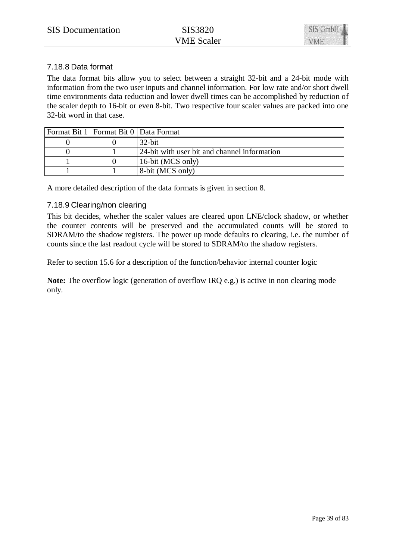#### 7.18.8 Data format

The data format bits allow you to select between a straight 32-bit and a 24-bit mode with information from the two user inputs and channel information. For low rate and/or short dwell time environments data reduction and lower dwell times can be accomplished by reduction of the scaler depth to 16-bit or even 8-bit. Two respective four scaler values are packed into one 32-bit word in that case.

| Format Bit 1   Format Bit 0   Data Format |                                              |
|-------------------------------------------|----------------------------------------------|
|                                           | $32$ -hit                                    |
|                                           | 24-bit with user bit and channel information |
|                                           | 16-bit (MCS only)                            |
|                                           | 8-bit (MCS only)                             |

A more detailed description of the data formats is given in section 8.

#### 7.18.9 Clearing/non clearing

This bit decides, whether the scaler values are cleared upon LNE/clock shadow, or whether the counter contents will be preserved and the accumulated counts will be stored to SDRAM/to the shadow registers. The power up mode defaults to clearing, i.e. the number of counts since the last readout cycle will be stored to SDRAM/to the shadow registers.

Refer to section 15.6 for a description of the function/behavior internal counter logic

**Note:** The overflow logic (generation of overflow IRQ e.g.) is active in non clearing mode only.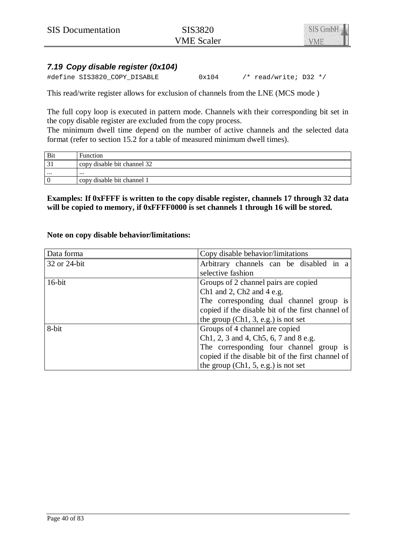

#### *7.19 Copy disable register (0x104)*

|  | #define SIS3820_COPY_DISABLE | 0x104 | $/*$ read/write; D32 */ |  |
|--|------------------------------|-------|-------------------------|--|
|  |                              |       |                         |  |

This read/write register allows for exclusion of channels from the LNE (MCS mode )

The full copy loop is executed in pattern mode. Channels with their corresponding bit set in the copy disable register are excluded from the copy process.

The minimum dwell time depend on the number of active channels and the selected data format (refer to section 15.2 for a table of measured minimum dwell times).

| Bit      | Function                    |
|----------|-----------------------------|
|          | copy disable bit channel 32 |
| $\cdots$ | $\cdots$                    |
|          | copy disable bit channel 1  |

#### **Examples: If 0xFFFF is written to the copy disable register, channels 17 through 32 data** will be copied to memory, if  $0xFFFF0000$  is set channels 1 through 16 will be stored.

#### **Note on copy disable behavior/limitations:**

| Data forma   | Copy disable behavior/limitations                 |
|--------------|---------------------------------------------------|
| 32 or 24-bit | Arbitrary channels can be disabled in a           |
|              | selective fashion                                 |
| $16$ -bit    | Groups of 2 channel pairs are copied              |
|              | Ch1 and 2, Ch2 and $4$ e.g.                       |
|              | The corresponding dual channel group is           |
|              | copied if the disable bit of the first channel of |
|              | the group $(Ch1, 3, e.g.)$ is not set             |
| 8-bit        | Groups of 4 channel are copied                    |
|              | Ch1, 2, 3 and 4, Ch5, 6, 7 and 8 e.g.             |
|              | The corresponding four channel group is           |
|              | copied if the disable bit of the first channel of |
|              | the group $(Ch1, 5, e.g.)$ is not set             |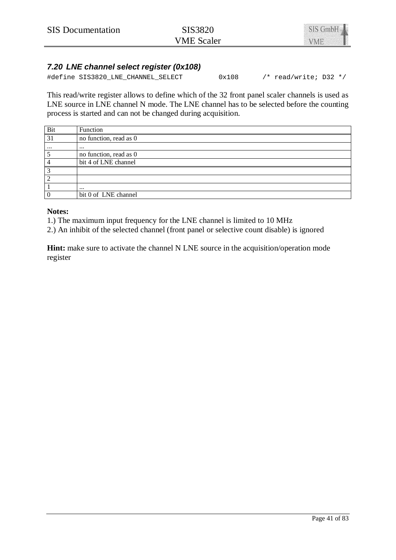

# *7.20 LNE channel select register (0x108)*

|  | #define SIS3820_LNE_CHANNEL_SELECT | 0x108 | $/*$ read/write; D32 */ |  |
|--|------------------------------------|-------|-------------------------|--|
|  |                                    |       |                         |  |

This read/write register allows to define which of the 32 front panel scaler channels is used as LNE source in LNE channel N mode. The LNE channel has to be selected before the counting process is started and can not be changed during acquisition.

| Bit             | Function               |
|-----------------|------------------------|
| $\overline{31}$ | no function, read as 0 |
| $\cdots$        | $\cdots$               |
|                 | no function, read as 0 |
|                 | bit 4 of LNE channel   |
|                 |                        |
|                 |                        |
|                 | $\cdots$               |
|                 | bit 0 of LNE channel   |

#### **Notes:**

1.) The maximum input frequency for the LNE channel is limited to 10 MHz

2.) An inhibit of the selected channel (front panel or selective count disable) is ignored

**Hint:** make sure to activate the channel N LNE source in the acquisition/operation mode register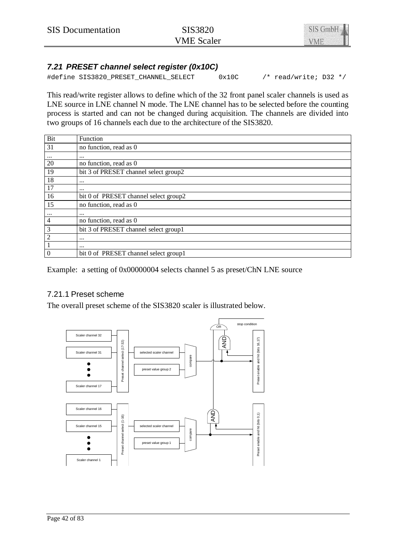

#### *7.21 PRESET channel select register (0x10C)*

#define SIS3820\_PRESET\_CHANNEL\_SELECT 0x10C /\* read/write; D32 \*/

This read/write register allows to define which of the 32 front panel scaler channels is used as LNE source in LNE channel N mode. The LNE channel has to be selected before the counting process is started and can not be changed during acquisition. The channels are divided into two groups of 16 channels each due to the architecture of the SIS3820.

| Bit              | Function                              |
|------------------|---------------------------------------|
| $\overline{31}$  | no function, read as 0                |
| $\cdots$         | $\ddotsc$                             |
| 20               | no function, read as 0                |
| 19               | bit 3 of PRESET channel select group2 |
| 18               | $\cdots$                              |
| 17               | $\cdots$                              |
| $\overline{16}$  | bit 0 of PRESET channel select group2 |
| 15               | no function, read as 0                |
| $\cdots$         | $\ddotsc$                             |
| $\overline{4}$   | no function, read as 0                |
| $\overline{3}$   | bit 3 of PRESET channel select group1 |
| $\overline{2}$   | $\cdots$                              |
| $\vert$ 1        | $\cdots$                              |
| $\boldsymbol{0}$ | bit 0 of PRESET channel select group1 |

Example: a setting of 0x00000004 selects channel 5 as preset/ChN LNE source

#### 7.21.1 Preset scheme

The overall preset scheme of the SIS3820 scaler is illustrated below.

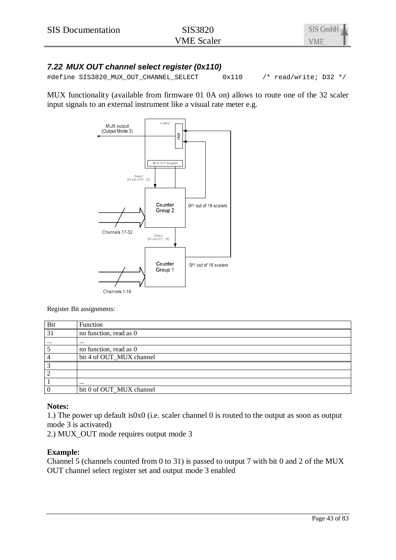#### *7.22 MUX OUT channel select register (0x110)*

#define SIS3820\_MUX\_OUT\_CHANNEL\_SELECT 0x110 /\* read/write; D32 \*/

MUX functionality (available from firmware 01 0A on) allows to route one of the 32 scaler input signals to an external instrument like a visual rate meter e.g.



Register Bit assignments:

| Bit             | Function                 |
|-----------------|--------------------------|
| $\overline{31}$ | no function, read as 0   |
| $\cdots$        | $\cdots$                 |
|                 | no function, read as 0   |
|                 | bit 4 of OUT_MUX channel |
| 3               |                          |
|                 |                          |
|                 | $\cdots$                 |
|                 | bit 0 of OUT_MUX channel |

#### **Notes:**

1.) The power up default is0x0 (i.e. scaler channel 0 is routed to the output as soon as output mode 3 is activated)

2.) MUX\_OUT mode requires output mode 3

#### **Example:**

Channel 5 (channels counted from 0 to 31) is passed to output 7 with bit 0 and 2 of the MUX OUT channel select register set and output mode 3 enabled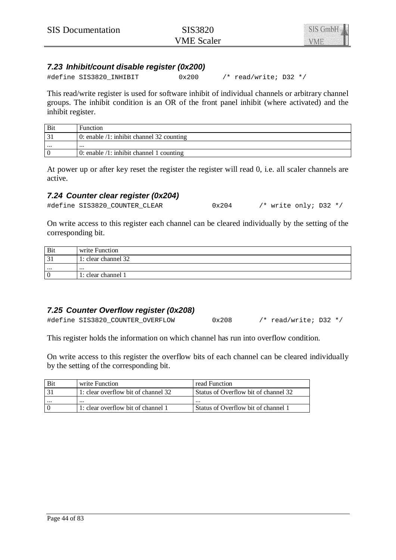#### *7.23 Inhibit/count disable register (0x200)*

| #define SIS3820 INHIBIT |  | 0x200 |
|-------------------------|--|-------|
|-------------------------|--|-------|

This read/write register is used for software inhibit of individual channels or arbitrary channel groups. The inhibit condition is an OR of the front panel inhibit (where activated) and the inhibit register.

/\* read/write; D32 \*/

| Bit      | Function                                        |
|----------|-------------------------------------------------|
|          | 0: enable $\pi/1$ : inhibit channel 32 counting |
| $\cdots$ | $\cdots$                                        |
|          | 0: enable $\pi/1$ : inhibit channel 1 counting  |

At power up or after key reset the register the register will read 0, i.e. all scaler channels are active.

#### *7.24 Counter clear register (0x204)*

#define SIS3820 COUNTER CLEAR 0x204 /\* write only; D32 \*/

On write access to this register each channel can be cleared individually by the setting of the corresponding bit.

| Bit                   | write Function      |
|-----------------------|---------------------|
| 2 <sup>1</sup><br>ر ر | 1: clear channel 32 |
| $\cdots$              | $\cdots$            |
| 0                     | 1: clear channel 1  |

#### *7.25 Counter Overflow register (0x208)*

#define SIS3820\_COUNTER\_OVERFLOW 0x208 /\* read/write; D32 \*/

This register holds the information on which channel has run into overflow condition.

On write access to this register the overflow bits of each channel can be cleared individually by the setting of the corresponding bit.

| Bit      | write Function                      | read Function                        |
|----------|-------------------------------------|--------------------------------------|
|          | 1: clear overflow bit of channel 32 | Status of Overflow bit of channel 32 |
| $\cdots$ | $\cdots$                            | $\cdots$                             |
|          | 1: clear overflow bit of channel 1  | Status of Overflow bit of channel 1  |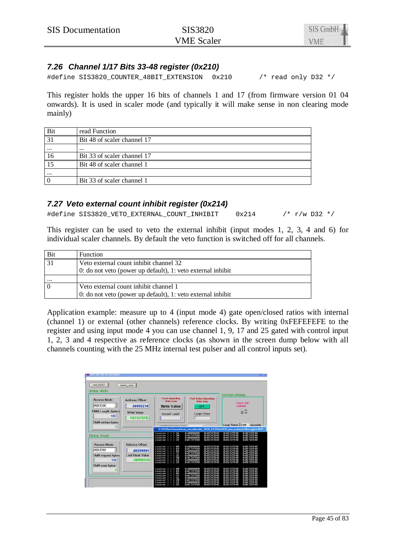

#### *7.26 Channel 1/17 Bits 33-48 register (0x210)*

#define SIS3820\_COUNTER\_48BIT\_EXTENSION 0x210 /\* read only D32 \*/

This register holds the upper 16 bits of channels 1 and 17 (from firmware version 01 04 onwards). It is used in scaler mode (and typically it will make sense in non clearing mode mainly)

| Bit             | read Function               |
|-----------------|-----------------------------|
| $\overline{31}$ | Bit 48 of scaler channel 17 |
| $\cdots$        | $\cdots$                    |
| 16              | Bit 33 of scaler channel 17 |
| $\overline{15}$ | Bit 48 of scaler channel 1  |
| $\cdots$        |                             |
| $\overline{0}$  | Bit 33 of scaler channel 1  |

#### *7.27 Veto external count inhibit register (0x214)*

#define SIS3820\_VETO\_EXTERNAL\_COUNT\_INHIBIT 0x214 /\* r/w D32 \*/

This register can be used to veto the external inhibit (input modes 1, 2, 3, 4 and 6) for individual scaler channels. By default the veto function is switched off for all channels.

| Bit      | <b>Function</b>                                             |
|----------|-------------------------------------------------------------|
| 31       | Veto external count in hibit channel 32                     |
|          | 0: do not veto (power up default), 1: veto external inhibit |
| $\cdots$ |                                                             |
|          | Veto external count in hibit channel 1                      |
|          | 0: do not veto (power up default), 1: veto external inhibit |

Application example: measure up to 4 (input mode 4) gate open/closed ratios with internal (channel 1) or external (other channels) reference clocks. By writing 0xFEFEFEFE to the register and using input mode 4 you can use channel 1, 9, 17 and 25 gated with control input 1, 2, 3 and 4 respective as reference clocks (as shown in the screen dump below with all channels counting with the 25 MHz internal test pulser and all control inputs set).

| <b>Global Write</b>                                               |                                                                         |                                                                                                                                                                             |                                                                                                                                   |                                                                                                                                                 | <b>Control settings</b>                                                                                                    |                                                                                                                                          |
|-------------------------------------------------------------------|-------------------------------------------------------------------------|-----------------------------------------------------------------------------------------------------------------------------------------------------------------------------|-----------------------------------------------------------------------------------------------------------------------------------|-------------------------------------------------------------------------------------------------------------------------------------------------|----------------------------------------------------------------------------------------------------------------------------|------------------------------------------------------------------------------------------------------------------------------------------|
| <b>Access Mode</b><br>A32/D32<br><b>DMA</b> Length (bytes)<br>100 | <b>Address Offset</b><br>38000214<br><b>Write Value</b><br>FEFEFEFE     | <b>Count depending</b><br>Write Loop<br><b>Write Value</b><br>COUNT LOOP                                                                                                    | <b>Push Button depending</b><br>Write Loop<br>OFF<br><b>Loops Done</b>                                                            |                                                                                                                                                 |                                                                                                                            | <b>HOLD ON</b><br>ERROR<br>$\Box$ On<br><b>Di</b> Off                                                                                    |
| <b>DMA</b> written bytes<br>п                                     |                                                                         | LE ARLENYM WURDEN SITE & LONDON AND<br>CT P:13820\software\visual_actual\scaler_3820_0109\sis3820_mcs_example3\Debug\sis3820.                                               |                                                                                                                                   | $\overline{ }$                                                                                                                                  |                                                                                                                            | Loop Timer 22.00 seconds                                                                                                                 |
| <b>Global Read</b>                                                |                                                                         | $-11.16$<br>counter 1<br>$-128$<br>counter i<br>$= 1, 24$<br>counter <sub>1</sub><br>$counter 1 - 1 28$                                                                     | Bx99999999<br>Bx817d7848<br>8×98888888<br>Bx817d7848                                                                              | B×81747848<br>0x017d7840<br>8x81747848<br>8:011747848                                                                                           | 8-81242848<br>0x017d7840<br>8×817d7840<br>8x81747848                                                                       | Bx817d7848<br>B×817d7848<br>Bx817d7848<br><b>BxB17d7848</b>                                                                              |
| Access Mode<br>A32/D32<br><b>DMA</b> request bytes<br>100         | <b>Address Offset</b><br>38000004<br><b>Last Read Value</b><br>38200109 | $= 1.08$<br>counter i<br>84<br>counter<br>WH<br>counter<br>a.<br>12<br>counter<br>٠<br>1.16<br>counter<br>20<br>counter<br>۰<br>24<br>counter<br>ı<br>$= 1.20$<br>counter i | 8×88888888<br>Bx817d7848<br><b>Bx88888888</b><br>Bx817d7848<br>Bx89889989<br>0x00000000<br><b>Bx817d7048</b>                      | 8x81747848<br>8×81747848<br>8x817d7848<br>Bx817d7848<br>8×81747048<br>0x017d7040<br>0x017d7040<br>0x017d7040                                    | Bx817d7840<br>8x817d7840<br>8x81747848<br>8x817d7840<br>0x017d7040<br>0x017d7040<br>0x017d7040<br>0x017d7040               | Bx817d7848<br><b>Bx817d7840</b><br>Bx817d7848<br>8x817d7848<br>8x817d7848<br><b>Bx817d7040</b><br><b>Bx817d7040</b><br><b>Bx817d7049</b> |
| <b>DMA</b> read bytes<br>o                                        |                                                                         | 99<br>counter<br>84<br>counter<br>店品<br>counter<br>12<br>counter<br>16<br>counter<br>20<br>counter<br>24<br>counter                                                         | <b>BxRBOOBOOB</b><br><b>Bx817d7848</b><br>BxRRRRRRRR<br><b>Bx817d7848</b><br><b>BxBBBBBBBB</b><br><b>Bx817d7848</b><br>B-88888888 | <b>Rx91247848</b><br><b>Rx817d7848</b><br><b>Bx817d7848</b><br><b>Rx817d7848</b><br><b>Bx812d2848</b><br><b>Bx81747848</b><br><b>Bx817d7848</b> | Rx81747848<br><b>Rx817d7840</b><br><b>Rx81747848</b><br><b>Rx812d2848</b><br>Rx817d7848<br><b>Bx817d7848</b><br>8x817d7848 | Bx81747948<br>Bx817d7848<br><b>Bx817d7840</b><br><b>Bx817d7840</b><br>8x817d7848<br><b>Bx817d7848</b><br><b>Bx817d7848</b>               |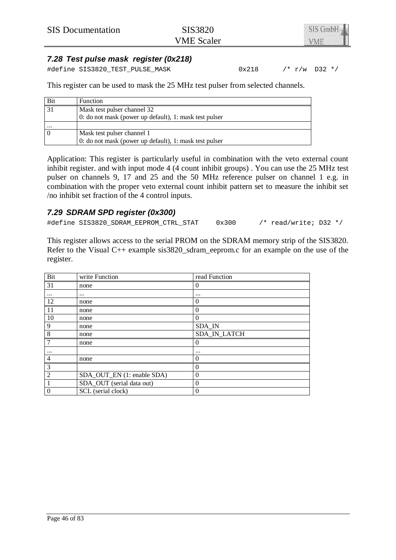VME Scaler



#### *7.28 Test pulse mask register (0x218)*

#define SIS3820 TEST PULSE MASK  $0x218$  /\* r/w D32 \*/

This register can be used to mask the 25 MHz test pulser from selected channels.

| Bit      | Function                                               |
|----------|--------------------------------------------------------|
| 31       | Mask test pulser channel 32                            |
|          | 0: do not mask (power up default), 1: mask test pulser |
| $\cdots$ |                                                        |
|          | Mask test pulser channel 1                             |
|          | 0: do not mask (power up default), 1: mask test pulser |

Application: This register is particularly useful in combination with the veto external count inhibit register. and with input mode 4 (4 count inhibit groups) . You can use the 25 MHz test pulser on channels 9, 17 and 25 and the 50 MHz reference pulser on channel 1 e.g. in combination with the proper veto external count inhibit pattern set to measure the inhibit set /no inhibit set fraction of the 4 control inputs.

#### *7.29 SDRAM SPD register (0x300)*

#define SIS3820 SDRAM EEPROM CTRL STAT 0x300 /\* read/write; D32 \*/

This register allows access to the serial PROM on the SDRAM memory strip of the SIS3820. Refer to the Visual C++ example sis3820\_sdram\_eeprom.c for an example on the use of the register.

| <b>Bit</b>      | write Function             | read Function |
|-----------------|----------------------------|---------------|
| 31              | none                       | $\Omega$      |
| $\cdots$        | $\cdots$                   | $\cdots$      |
| 12              | none                       | $\theta$      |
| $\overline{11}$ | none                       | $\Omega$      |
| 10              | none                       | $\Omega$      |
| $\overline{9}$  | none                       | SDA_IN        |
| $\sqrt{8}$      | none                       | SDA_IN_LATCH  |
| $\overline{7}$  | none                       | $\theta$      |
| $\cdots$        |                            | $\cdots$      |
| $\overline{4}$  | none                       | $\Omega$      |
| $\overline{3}$  |                            | $\theta$      |
| $\overline{2}$  | SDA_OUT_EN (1: enable SDA) | $\theta$      |
| $\mathbf 1$     | SDA_OUT (serial data out)  | $\theta$      |
| $\overline{0}$  | SCL (serial clock)         | $\theta$      |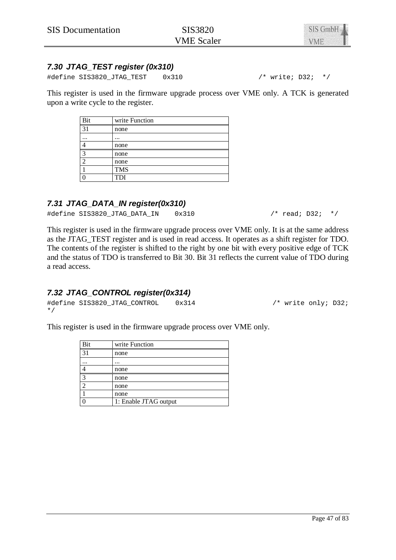#### *7.30 JTAG\_TEST register (0x310)*

#define SIS3820\_JTAG\_TEST 0x310 /\* write; D32; \*/

This register is used in the firmware upgrade process over VME only. A TCK is generated upon a write cycle to the register.

| <b>Bit</b> | write Function |
|------------|----------------|
| 31         | none           |
|            | $\cdots$       |
|            | none           |
|            | none           |
|            | none           |
|            | <b>TMS</b>     |
|            | <b>TDI</b>     |

#### *7.31 JTAG\_DATA\_IN register(0x310)*

#define SIS3820\_JTAG\_DATA\_IN 0x310 /\* read; D32; \*/

This register is used in the firmware upgrade process over VME only. It is at the same address as the JTAG\_TEST register and is used in read access. It operates as a shift register for TDO. The contents of the register is shifted to the right by one bit with every positive edge of TCK and the status of TDO is transferred to Bit 30. Bit 31 reflects the current value of TDO during a read access.

# *7.32 JTAG\_CONTROL register(0x314)*

#define SIS3820\_JTAG\_CONTROL 0x314 /\* write only; D32; \*/

This register is used in the firmware upgrade process over VME only.

| Bit             | write Function        |
|-----------------|-----------------------|
| $\overline{31}$ | none                  |
| $\cdots$        |                       |
|                 | none                  |
|                 | none                  |
|                 | none                  |
|                 | none                  |
|                 | 1: Enable JTAG output |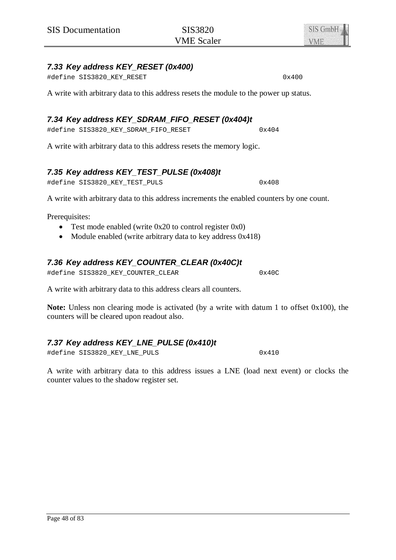VME Scaler

#### *7.33 Key address KEY\_RESET (0x400)*

#define SIS3820\_KEY\_RESET 0x400

A write with arbitrary data to this address resets the module to the power up status.

# *7.34 Key address KEY\_SDRAM\_FIFO\_RESET (0x404)t*

#define SIS3820 KEY SDRAM FIFO RESET 0x404

A write with arbitrary data to this address resets the memory logic.

# *7.35 Key address KEY\_TEST\_PULSE (0x408)t*

#define SIS3820\_KEY\_TEST\_PULS 0x408

A write with arbitrary data to this address increments the enabled counters by one count.

Prerequisites:

- Test mode enabled (write  $0x20$  to control register  $0x0$ )
- Module enabled (write arbitrary data to key address  $0x418$ )

# *7.36 Key address KEY\_COUNTER\_CLEAR (0x40C)t*

#define SIS3820\_KEY\_COUNTER\_CLEAR 0x40C

A write with arbitrary data to this address clears all counters.

**Note:** Unless non clearing mode is activated (by a write with datum 1 to offset 0x100), the counters will be cleared upon readout also.

# *7.37 Key address KEY\_LNE\_PULSE (0x410)t*

#define SIS3820\_KEY\_LNE\_PULS 0x410

A write with arbitrary data to this address issues a LNE (load next event) or clocks the counter values to the shadow register set.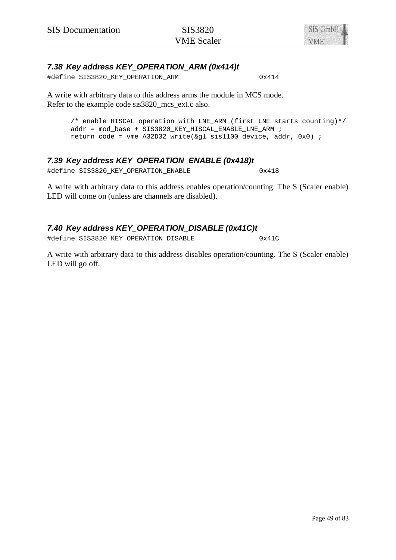#### *7.38 Key address KEY\_OPERATION\_ARM (0x414)t*

#define SIS3820 KEY OPERATION ARM 0x414

A write with arbitrary data to this address arms the module in MCS mode. Refer to the example code sis3820\_mcs\_ext.c also.

 $/*$  enable HISCAL operation with LNE ARM (first LNE starts counting)\*/ addr = mod base + SIS3820 KEY HISCAL ENABLE LNE ARM ; return\_code = vme\_A32D32\_write(&gl\_sis1100\_device, addr, 0x0) ;

#### *7.39 Key address KEY\_OPERATION\_ENABLE (0x418)t*

#define SIS3820\_KEY\_OPERATION\_ENABLE 0x418

A write with arbitrary data to this address enables operation/counting. The S (Scaler enable) LED will come on (unless are channels are disabled).

# *7.40 Key address KEY\_OPERATION\_DISABLE (0x41C)t*

#define SIS3820 KEY OPERATION DISABLE 0x41C

A write with arbitrary data to this address disables operation/counting. The S (Scaler enable) LED will go off.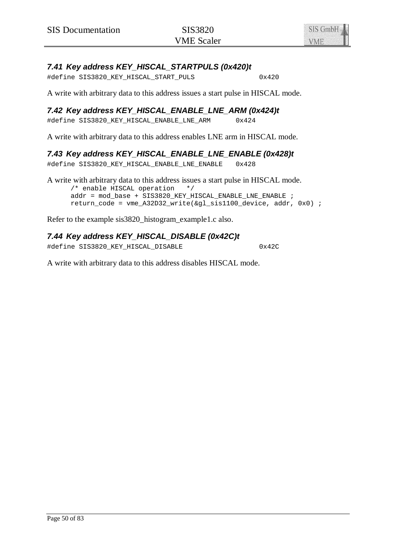# *7.41 Key address KEY\_HISCAL\_STARTPULS (0x420)t*

#define SIS3820\_KEY\_HISCAL\_START\_PULS 0x420

A write with arbitrary data to this address issues a start pulse in HISCAL mode.

#### *7.42 Key address KEY\_HISCAL\_ENABLE\_LNE\_ARM (0x424)t*

#define SIS3820\_KEY\_HISCAL\_ENABLE\_LNE\_ARM 0x424

A write with arbitrary data to this address enables LNE arm in HISCAL mode.

#### *7.43 Key address KEY\_HISCAL\_ENABLE\_LNE\_ENABLE (0x428)t*

```
#define SIS3820_KEY_HISCAL_ENABLE_LNE_ENABLE 0x428
```
A write with arbitrary data to this address issues a start pulse in HISCAL mode.

/\* enable HISCAL operation \*/ addr = mod\_base + SIS3820\_KEY\_HISCAL\_ENABLE\_LNE\_ENABLE ; return\_code = vme\_A32D32\_write(&gl\_sis1100\_device, addr, 0x0) ;

Refer to the example sis3820 histogram example1.c also.

#### *7.44 Key address KEY\_HISCAL\_DISABLE (0x42C)t*

#define SIS3820\_KEY\_HISCAL\_DISABLE 0x42C

A write with arbitrary data to this address disables HISCAL mode.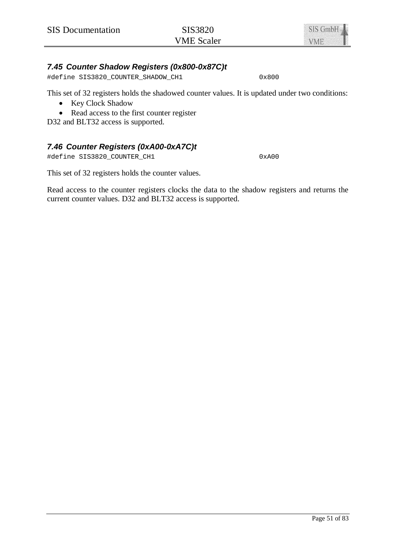| <b>SIS</b> Documentation | SIS3820           | SIS GmbH   |
|--------------------------|-------------------|------------|
|                          | <b>VME</b> Scaler | <b>VME</b> |

#### *7.45 Counter Shadow Registers (0x800-0x87C)t*

#define SIS3820\_COUNTER\_SHADOW\_CH1 0x800

This set of 32 registers holds the shadowed counter values. It is updated under two conditions:

- Key Clock Shadow
- Read access to the first counter register

D32 and BLT32 access is supported.

#### *7.46 Counter Registers (0xA00-0xA7C)t*

#define SIS3820\_COUNTER\_CH1 0xA00

This set of 32 registers holds the counter values.

Read access to the counter registers clocks the data to the shadow registers and returns the current counter values. D32 and BLT32 access is supported.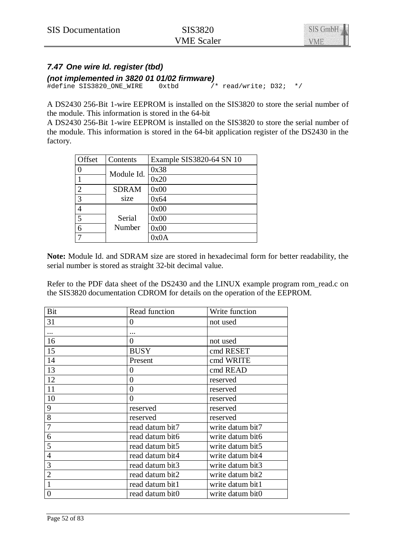

#### *7.47 One wire Id. register (tbd)*

*(not implemented in 3820 01 01/02 firmware)* #define SIS3820\_ONE\_WIRE 0xtbd /\* read/write; D32; \*/

A DS2430 256-Bit 1-wire EEPROM is installed on the SIS3820 to store the serial number of the module. This information is stored in the 64-bit

A DS2430 256-Bit 1-wire EEPROM is installed on the SIS3820 to store the serial number of the module. This information is stored in the 64-bit application register of the DS2430 in the factory.

| Offset         | Contents     | Example SIS3820-64 SN 10 |
|----------------|--------------|--------------------------|
|                | Module Id.   | 0x38                     |
|                |              | 0x20                     |
| $\overline{2}$ | <b>SDRAM</b> | 0x00                     |
| 3              | size         | 0x64                     |
| 4              |              | 0x00                     |
| 5              | Serial       | 0x00                     |
| 6              | Number       | 0x00                     |
|                |              | )x0A                     |

**Note:** Module Id. and SDRAM size are stored in hexadecimal form for better readability, the serial number is stored as straight 32-bit decimal value.

Refer to the PDF data sheet of the DS2430 and the LINUX example program rom\_read.c on the SIS3820 documentation CDROM for details on the operation of the EEPROM.

| Bit              | Read function   | Write function   |
|------------------|-----------------|------------------|
| 31               | 0               | not used         |
| $\cdots$         |                 |                  |
| 16               | 0               | not used         |
| 15               | <b>BUSY</b>     | cmd RESET        |
| 14               | Present         | cmd WRITE        |
| 13               | $\overline{0}$  | cmd READ         |
| 12               | $\overline{0}$  | reserved         |
| $\overline{11}$  | $\overline{0}$  | reserved         |
| 10               | $\overline{0}$  | reserved         |
| 9                | reserved        | reserved         |
| 8                | reserved        | reserved         |
| $\boldsymbol{7}$ | read datum bit7 | write datum bit7 |
| 6                | read datum bit6 | write datum bit6 |
| 5                | read datum bit5 | write datum bit5 |
| $\overline{4}$   | read datum bit4 | write datum bit4 |
| 3                | read datum bit3 | write datum bit3 |
| $\overline{2}$   | read datum bit2 | write datum bit2 |
| $\mathbf{1}$     | read datum bit1 | write datum bit1 |
| $\overline{0}$   | read datum bit0 | write datum bit0 |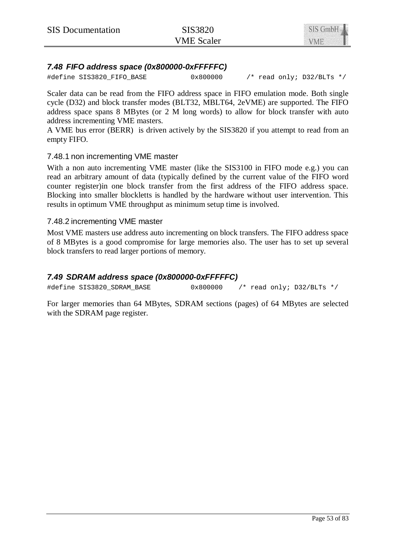#### *7.48 FIFO address space (0x800000-0xFFFFFC)*

| #define SIS3820_FIFO_BASE |  | 0x800000 |  | $/*$ read only; D32/BLTs */ |  |
|---------------------------|--|----------|--|-----------------------------|--|
|                           |  |          |  |                             |  |

Scaler data can be read from the FIFO address space in FIFO emulation mode. Both single cycle (D32) and block transfer modes (BLT32, MBLT64, 2eVME) are supported. The FIFO address space spans 8 MBytes (or 2 M long words) to allow for block transfer with auto address incrementing VME masters.

A VME bus error (BERR) is driven actively by the SIS3820 if you attempt to read from an empty FIFO.

#### 7.48.1 non incrementing VME master

With a non auto incrementing VME master (like the SIS3100 in FIFO mode e.g.) you can read an arbitrary amount of data (typically defined by the current value of the FIFO word counter register)in one block transfer from the first address of the FIFO address space. Blocking into smaller blockletts is handled by the hardware without user intervention. This results in optimum VME throughput as minimum setup time is involved.

#### 7.48.2 incrementing VME master

Most VME masters use address auto incrementing on block transfers. The FIFO address space of 8 MBytes is a good compromise for large memories also. The user has to set up several block transfers to read larger portions of memory.

#### *7.49 SDRAM address space (0x800000-0xFFFFFC)*

```
#define SIS3820 SDRAM BASE 0x800000 /* read only; D32/BLTs */
```
For larger memories than 64 MBytes, SDRAM sections (pages) of 64 MBytes are selected with the SDRAM page register.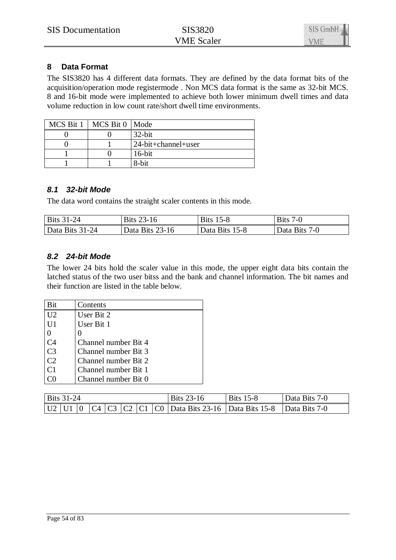#### **8 Data Format**

The SIS3820 has 4 different data formats. They are defined by the data format bits of the acquisition/operation mode registermode . Non MCS data format is the same as 32-bit MCS. 8 and 16-bit mode were implemented to achieve both lower minimum dwell times and data volume reduction in low count rate/short dwell time environments.

| MCS Bit 1   MCS Bit 0   Mode |                        |
|------------------------------|------------------------|
|                              | $32$ -bit              |
|                              | $ 24-bit+channel+user$ |
|                              | $16$ -bit              |
|                              | 8-bit                  |

# *8.1 32-bit Mode*

The data word contains the straight scaler contents in this mode.

| <b>Bits 31-24</b> | <b>Bits 23-16</b> | <b>Bits 15-8</b> | Bits $7-0$    |
|-------------------|-------------------|------------------|---------------|
| Data Bits 31-24   | Data Bits 23-16   | Data Bits 15-8   | Data Bits 7-0 |

#### *8.2 24-bit Mode*

The lower 24 bits hold the scaler value in this mode, the upper eight data bits contain the latched status of the two user bitss and the bank and channel information. The bit names and their function are listed in the table below.

| Bit            | Contents             |
|----------------|----------------------|
| U <sub>2</sub> | User Bit 2           |
| U <sub>1</sub> | User Bit 1           |
|                |                      |
| C <sub>4</sub> | Channel number Bit 4 |
| C <sub>3</sub> | Channel number Bit 3 |
| C <sub>2</sub> | Channel number Bit 2 |
| C <sub>1</sub> | Channel number Bit 1 |
|                | Channel number Bit 0 |

| <b>Bits 31-24</b> |  |  |  | Bits $23-16$ | <b>Bits 15-8</b> | Data Bits 7-0 |                                                                                         |  |  |
|-------------------|--|--|--|--------------|------------------|---------------|-----------------------------------------------------------------------------------------|--|--|
|                   |  |  |  |              |                  |               | U2   U1   0   C4   C3   C2   C1   C0   Data Bits 23-16   Data Bits 15-8   Data Bits 7-0 |  |  |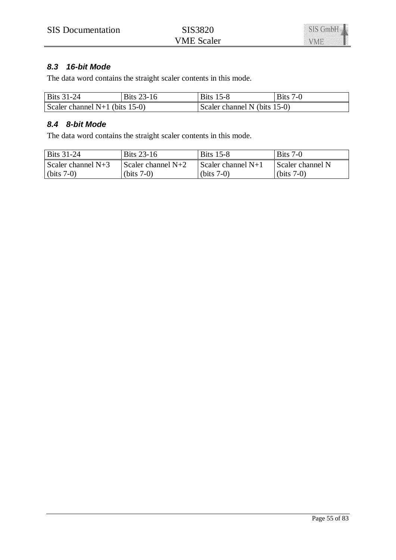# *8.3 16-bit Mode*

The data word contains the straight scaler contents in this mode.

| <b>Bits 31-24</b>                | <b>Bits 23-16</b> | <b>Bits 15-8</b>             | Bits $7-0$ |
|----------------------------------|-------------------|------------------------------|------------|
| Scaler channel $N+1$ (bits 15-0) |                   | Scaler channel N (bits 15-0) |            |

#### *8.4 8-bit Mode*

The data word contains the straight scaler contents in this mode.

| <b>Bits 31-24</b>    | <b>Bits 23-16</b>  | <b>Bits 15-8</b>           | Bits $7-0$       |
|----------------------|--------------------|----------------------------|------------------|
| Scaler channel $N+3$ | Scaler channel N+2 | $\vert$ Scaler channel N+1 | Scaler channel N |
| (bits $7-0$ )        | $(bits 7-0)$       | (bits $7-0$ )              | $(bits 7-0)$     |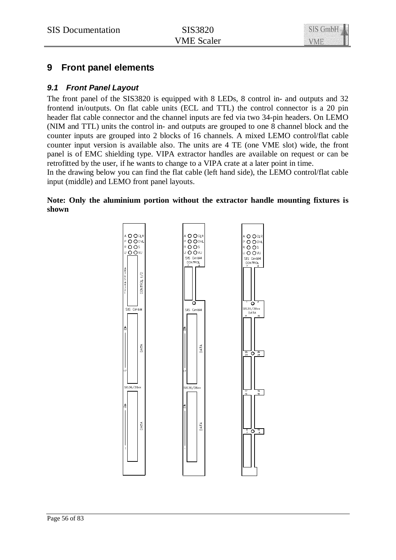

# **9 Front panel elements**

#### *9.1 Front Panel Layout*

The front panel of the SIS3820 is equipped with 8 LEDs, 8 control in- and outputs and 32 frontend in/outputs. On flat cable units (ECL and TTL) the control connector is a 20 pin header flat cable connector and the channel inputs are fed via two 34-pin headers. On LEMO (NIM and TTL) units the control in- and outputs are grouped to one 8 channel block and the counter inputs are grouped into 2 blocks of 16 channels. A mixed LEMO control/flat cable counter input version is available also. The units are 4 TE (one VME slot) wide, the front panel is of EMC shielding type. VIPA extractor handles are available on request or can be retrofitted by the user, if he wants to change to a VIPA crate at a later point in time.

In the drawing below you can find the flat cable (left hand side), the LEMO control/flat cable input (middle) and LEMO front panel layouts.

#### **Note: Only the aluminium portion without the extractor handle mounting fixtures is shown**

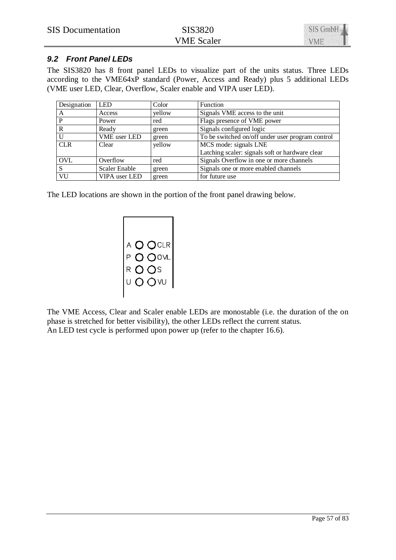#### *9.2 Front Panel LEDs*

The SIS3820 has 8 front panel LEDs to visualize part of the units status. Three LEDs according to the VME64xP standard (Power, Access and Ready) plus 5 additional LEDs (VME user LED, Clear, Overflow, Scaler enable and VIPA user LED).

| Designation | <b>LED</b>           | Color  | Function                                         |
|-------------|----------------------|--------|--------------------------------------------------|
| A           | Access               | yellow | Signals VME access to the unit                   |
| P           | Power                | red    | Flags presence of VME power                      |
| R           | Ready                | green  | Signals configured logic                         |
|             | VME user LED         | green  | To be switched on/off under user program control |
| <b>CLR</b>  | Clear                | yellow | MCS mode: signals LNE                            |
|             |                      |        | Latching scaler: signals soft or hardware clear  |
| <b>OVL</b>  | Overflow             | red    | Signals Overflow in one or more channels         |
| S           | <b>Scaler Enable</b> | green  | Signals one or more enabled channels             |
| VU          | VIPA user LED        | green  | for future use                                   |

The LED locations are shown in the portion of the front panel drawing below.

A O OCLR<br>
P O OOVL<br>
R O OS<br>
U O O VU

The VME Access, Clear and Scaler enable LEDs are monostable (i.e. the duration of the on phase is stretched for better visibility), the other LEDs reflect the current status. An LED test cycle is performed upon power up (refer to the chapter 16.6).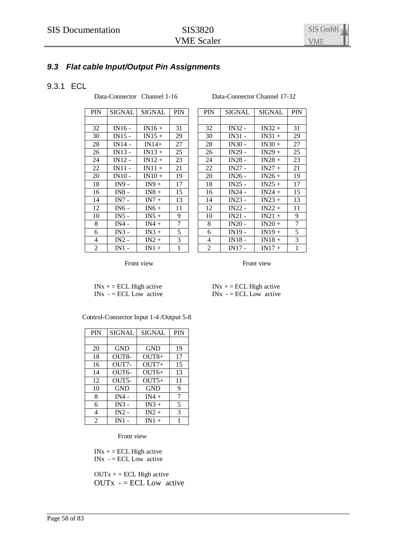# *9.3 Flat cable Input/Output Pin Assignments*

#### 9.3.1 ECL

Data-Connector Channel 1-16 Data-Connector Channel 17-32

| PIN | SIGNAL   | SIGNAL   | PIN |
|-----|----------|----------|-----|
|     |          |          |     |
| 32  | $IN16 -$ | $IN16 +$ | 31  |
| 30  | $IN15 -$ | $IN15 +$ | 29  |
| 28  | $IN14 -$ | $IN14+$  | 27  |
| 26  | $IN13 -$ | $IN13 +$ | 25  |
| 24  | IN12 -   | $IN12 +$ | 23  |
| 22  | $IN11 -$ | $IN11 +$ | 21  |
| 20  | $IN10 -$ | $IN10+$  | 19  |
| 18  | IN9 -    | $IN9+$   | 17  |
| 16  | $IN8 -$  | $IN8 +$  | 15  |
| 14  | $IN7 -$  | $IN7 +$  | 13  |
| 12  | IN6 -    | $IN6 +$  | 11  |
| 10  | IN5 -    | $IN5+$   | 9   |
| 8   | $IN4 -$  | $IN4 +$  | 7   |
| 6   | $IN3 -$  | $IN3 +$  | 5   |
| 4   | $IN2 -$  | $IN2 +$  | 3   |
| 2   | IN1.     | $IN1 +$  | 1   |

| PIN | SIGNAL        | <b>SIGNAL</b> | PIN | PIN            | <b>SIGNAL</b> | <b>SIGNAL</b> | <b>PIN</b> |
|-----|---------------|---------------|-----|----------------|---------------|---------------|------------|
|     |               |               |     |                |               |               |            |
| 32  | IN16 -        | $IN16+$       | 31  | 32             | IN32 -        | $IN32 +$      | 31         |
| 30  | $IN15 -$      | $IN15 +$      | 29  | 30             | $IN31 -$      | $IN31 +$      | 29         |
| 28  | <b>IN14 -</b> | $IN14+$       | 27  | 28             | $IN30 -$      | $IN30+$       | 27         |
| 26  | $IN13 -$      | $IN13 +$      | 25  | 26             | $IN29 -$      | $IN29 +$      | 25         |
| 24  | IN12 -        | $IN12 +$      | 23  | 24             | IN28 -        | $IN28 +$      | 23         |
| 22  | IN11 -        | $IN11 +$      | 21  | 22             | IN27 -        | $IN27 +$      | 21         |
| 20  | IN10 -        | $IN10+$       | 19  | 20             | $IN26 -$      | $IN26 +$      | 19         |
| 18  | $IN9 -$       | $IN9+$        | 17  | 18             | $IN25 -$      | $IN25 +$      | 17         |
| 16  | $IN8 -$       | $IN8 +$       | 15  | 16             | $IN24 -$      | $IN24 +$      | 15         |
| 14  | $IN7 -$       | $IN7 +$       | 13  | 14             | $IN23 -$      | $IN23 +$      | 13         |
| 12  | $IN6 -$       | $IN6 +$       | 11  | 12             | $IN22 -$      | $IN22 +$      | 11         |
| 10  | $IN5 -$       | $IN5+$        | 9   | 10             | $IN21 -$      | $IN21 +$      | 9          |
| 8   | $IN4 -$       | $IN4 +$       | 7   | 8              | $IN20 -$      | $IN20 +$      | 7          |
| 6   | $IN3 -$       | $IN3 +$       | 5   | 6              | $IN19 -$      | $IN19+$       | 5          |
| 4   | $IN2 -$       | $IN2 +$       | 3   | 4              | $IN18 -$      | $IN18 +$      | 3          |
| 2   | $IN1 -$       | $IN1 +$       | 1   | $\overline{2}$ | IN17 -        | $IN17 +$      | 1          |

Front view Front view Front view

 $INx + = ECL$  High active<br>  $INx - = ECL$  Low active<br>  $INx - = ECL$  Low active<br>  $INx - = ECL$  Low active INx  $-$  = ECL Low active

Control-Connector Input 1-4 /Output 5-8

| <b>PIN</b>     | <b>SIGNAL</b> | <b>SIGNAL</b> | <b>PIN</b> |
|----------------|---------------|---------------|------------|
|                |               |               |            |
| 20             | <b>GND</b>    | <b>GND</b>    | 19         |
| 18             | OUT8-         | $OUT8+$       | 17         |
| 16             | OUT7-         | $OUT7+$       | 15         |
| 14             | OUT6-         | $OUT6+$       | 13         |
| 12             | OUT5-         | $OUT5+$       | 11         |
| 10             | <b>GND</b>    | GND           | 9          |
| 8              | $IN4 -$       | $IN4 +$       | 7          |
| 6              | $IN3 -$       | $IN3 +$       | 5          |
| 4              | $IN2 -$       | $IN2 +$       | 3          |
| $\mathfrak{D}$ | $IN1$ -       | $IN1 +$       | 1          |

Front view

 $INx + = ECL$  High active  $INx - ECL Low active$ 

 $OUTx += ECL$  High active  $OUTx - ECL Low active$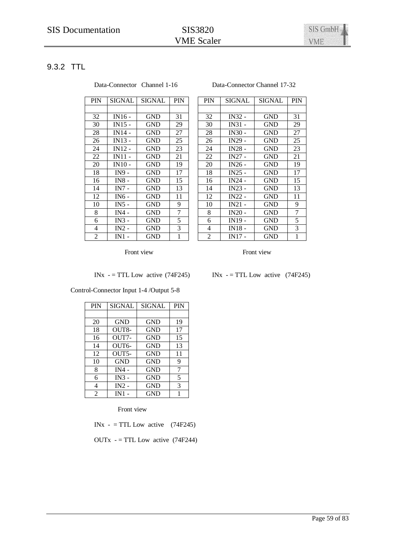# VME Scaler

# 9.3.2 TTL

| <b>PIN</b>     | SIGNAL        | SIGNAL     | <b>PIN</b> |
|----------------|---------------|------------|------------|
|                |               |            |            |
| 32             | $IN16 -$      | <b>GND</b> | 31         |
| 30             | $IN15 -$      | GND        | 29         |
| 28             | <b>IN14 -</b> | GND        | 27         |
| 26             | IN13 -        | GND        | 25         |
| 24             | $IN12 -$      | GND        | 23         |
| 22             | $IN11 -$      | GND        | 21         |
| 20             | $IN10 -$      | GND        | 19         |
| 18             | $IN9 -$       | GND        | 17         |
| 16             | $IN8 -$       | GND        | 15         |
| 14             | IN7 -         | GND        | 13         |
| 12             | IN6 -         | GND        | 11         |
| 10             | $IN5 -$       | GND        | 9          |
| 8              | $IN4 -$       | GND        | $\tau$     |
| 6              | $IN3 -$       | GND        | 5          |
| 4              | $IN2 -$       | GND        | 3          |
| $\overline{2}$ | IN1 -         | <b>GND</b> | 1          |

#### Data-Connector Channel 1-16 Data-Connector Channel 17-32

| PIN | <b>SIGNAL</b> | SIGNAL     | <b>PIN</b> | <b>PIN</b>     | SIGNAL             | <b>SIGNAL</b> | PIN |
|-----|---------------|------------|------------|----------------|--------------------|---------------|-----|
|     |               |            |            |                |                    |               |     |
| 32  | $IN16 -$      | GND        | 31         | 32             | IN32 -             | <b>GND</b>    | 31  |
| 30  | $IN15 -$      | <b>GND</b> | 29         | 30             | $IN31 -$           | GND           | 29  |
| 28  | IN14 -        | <b>GND</b> | 27         | 28             | $IN30 -$           | <b>GND</b>    | 27  |
| 26  | IN13 -        | <b>GND</b> | 25         | 26             | IN29 -             | <b>GND</b>    | 25  |
| 24  | IN12 -        | <b>GND</b> | 23         | 24             | <b>IN28 -</b>      | GND           | 23  |
| 22  | IN11 -        | GND        | 21         | 22             | $IN27 -$           | GND           | 21  |
| 20  | IN10 -        | GND        | 19         | 20             | $IN26 -$           | GND           | 19  |
| 18  | $IN9 -$       | GND        | 17         | 18             | $IN25 -$           | GND           | 17  |
| 16  | $IN8 -$       | GND        | 15         | 16             | $IN24 -$           | GND           | 15  |
| 14  | $IN7 -$       | GND        | 13         | 14             | $IN23 -$           | GND           | 13  |
| 12  | IN6 -         | GND        | 11         | 12             | IN22 -             | GND           | 11  |
| 10  | $IN5 -$       | GND        | 9          | 10             | $IN21 -$           | GND           | 9   |
| 8   | IN4 -         | GND        | 7          | 8              | $IN20 -$           | GND           | 7   |
| 6   | $IN3 -$       | <b>GND</b> | 5          | 6              | IN <sub>19</sub> - | <b>GND</b>    | 5   |
| 4   | $IN2 -$       | <b>GND</b> | 3          | 4              | $IN18 -$           | <b>GND</b>    | 3   |
| 2   | $IN1$ -       | GND        | 1          | $\overline{2}$ | <b>IN17 -</b>      | GND           | 1   |

Front view Front view Front view

INx  $-$  = TTL Low active (74F245) INx  $-$  = TTL Low active (74F245)

Control-Connector Input 1-4 /Output 5-8

| <b>PIN</b>     | <b>SIGNAL</b> | <b>SIGNAL</b> | <b>PIN</b> |
|----------------|---------------|---------------|------------|
|                |               |               |            |
| 20             | <b>GND</b>    | <b>GND</b>    | 19         |
| 18             | OUT8-         | <b>GND</b>    | 17         |
| 16             | OUT7-         | <b>GND</b>    | 15         |
| 14             | OUT6-         | <b>GND</b>    | 13         |
| 12             | OUT5-         | <b>GND</b>    | 11         |
| 10             | <b>GND</b>    | GND           | 9          |
| 8              | $IN4 -$       | <b>GND</b>    | 7          |
| 6              | $IN3 -$       | <b>GND</b>    | 5          |
| 4              | $IN2 -$       | <b>GND</b>    | 3          |
| $\mathfrak{D}$ | IN1           | GND           |            |

Front view

INx -  $=$  TTL Low active (74F245)

OUTx  $-$  = TTL Low active (74F244)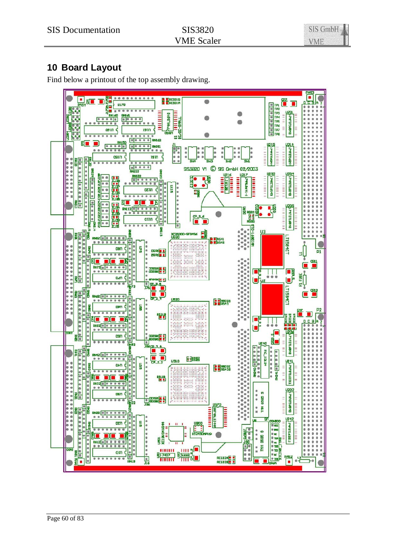VME Scaler



# **10 Board Layout**

Find below a printout of the top assembly drawing.

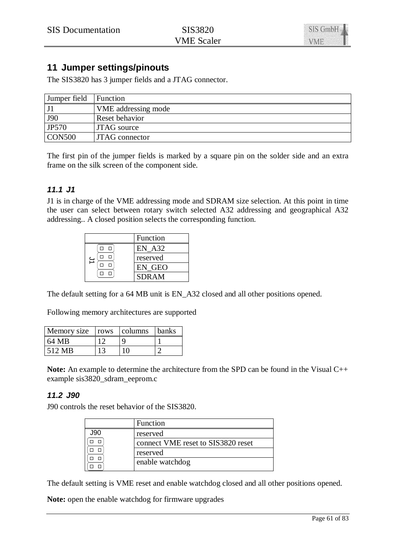# **11 Jumper settings/pinouts**

The SIS3820 has 3 jumper fields and a JTAG connector.

| Jumper field | <b>Function</b>       |  |
|--------------|-----------------------|--|
|              | VME addressing mode   |  |
| <b>J90</b>   | Reset behavior        |  |
| JP570        | <b>JTAG</b> source    |  |
| CON500       | <b>JTAG</b> connector |  |

The first pin of the jumper fields is marked by a square pin on the solder side and an extra frame on the silk screen of the component side.

#### *11.1 J1*

J1 is in charge of the VME addressing mode and SDRAM size selection. At this point in time the user can select between rotary switch selected A32 addressing and geographical A32 addressing.. A closed position selects the corresponding function.

|              | Function     |
|--------------|--------------|
|              | N A32        |
| $\mathbf{r}$ | reserved     |
|              | EN GEO       |
|              | <b>SDRAM</b> |

The default setting for a 64 MB unit is EN\_A32 closed and all other positions opened.

Following memory architectures are supported

| Memory size | rows columns | banks |
|-------------|--------------|-------|
| 64 MB       |              |       |
| 512 MB      | 10           |       |

**Note:** An example to determine the architecture from the SPD can be found in the Visual C++ example sis3820\_sdram\_eeprom.c

#### *11.2 J90*

J90 controls the reset behavior of the SIS3820.

|     | Function                           |
|-----|------------------------------------|
| 190 | reserved                           |
|     | connect VME reset to SIS3820 reset |
|     | reserved                           |
|     | enable watchdog                    |

The default setting is VME reset and enable watchdog closed and all other positions opened.

**Note:** open the enable watchdog for firmware upgrades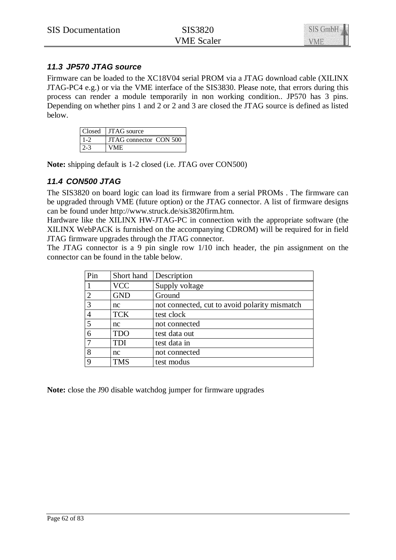# *11.3 JP570 JTAG source*

Firmware can be loaded to the XC18V04 serial PROM via a JTAG download cable (XILINX JTAG-PC4 e.g.) or via the VME interface of the SIS3830. Please note, that errors during this process can render a module temporarily in non working condition.. JP570 has 3 pins. Depending on whether pins 1 and 2 or 2 and 3 are closed the JTAG source is defined as listed below.

| Closed                   | <b>JTAG</b> source            |
|--------------------------|-------------------------------|
| $\mathsf{L} \mathcal{D}$ | <b>JTAG</b> connector CON 500 |
|                          |                               |

**Note:** shipping default is 1-2 closed (i.e. JTAG over CON500)

# *11.4 CON500 JTAG*

The SIS3820 on board logic can load its firmware from a serial PROMs . The firmware can be upgraded through VME (future option) or the JTAG connector. A list of firmware designs can be found under http://www.struck.de/sis3820firm.htm.

Hardware like the XILINX HW-JTAG-PC in connection with the appropriate software (the XILINX WebPACK is furnished on the accompanying CDROM) will be required for in field JTAG firmware upgrades through the JTAG connector.

The JTAG connector is a 9 pin single row 1/10 inch header, the pin assignment on the connector can be found in the table below.

| Pin           | Short hand | Description                                   |
|---------------|------------|-----------------------------------------------|
|               | <b>VCC</b> | Supply voltage                                |
| ◠             | <b>GND</b> | Ground                                        |
| $\mathcal{R}$ | nc         | not connected, cut to avoid polarity mismatch |
|               | <b>TCK</b> | test clock                                    |
| 5             | nc         | not connected                                 |
| 6             | TDO        | test data out                                 |
|               | TDI        | test data in                                  |
| 8             | nc         | not connected                                 |
| Q             | <b>TMS</b> | test modus                                    |

**Note:** close the J90 disable watchdog jumper for firmware upgrades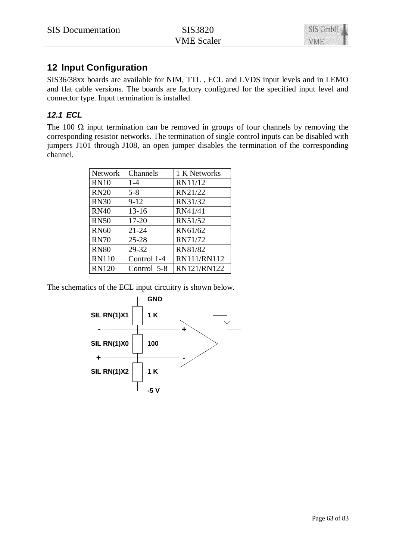# **12 Input Configuration**

SIS36/38xx boards are available for NIM, TTL , ECL and LVDS input levels and in LEMO and flat cable versions. The boards are factory configured for the specified input level and connector type. Input termination is installed.

#### *12.1 ECL*

The 100  $\Omega$  input termination can be removed in groups of four channels by removing the corresponding resistor networks. The termination of single control inputs can be disabled with jumpers J101 through J108, an open jumper disables the termination of the corresponding channel.

| Network      | Channels    | 1 K Networks |
|--------------|-------------|--------------|
| <b>RN10</b>  | $1 - 4$     | RN11/12      |
| <b>RN20</b>  | $5 - 8$     | RN21/22      |
| <b>RN30</b>  | $9-12$      | RN31/32      |
| <b>RN40</b>  | $13 - 16$   | RN41/41      |
| <b>RN50</b>  | $17 - 20$   | RN51/52      |
| <b>RN60</b>  | $21 - 24$   | RN61/62      |
| <b>RN70</b>  | $25 - 28$   | RN71/72      |
| <b>RN80</b>  | 29-32       | RN81/82      |
| <b>RN110</b> | Control 1-4 | RN111/RN112  |
| <b>RN120</b> | Control 5-8 | RN121/RN122  |

The schematics of the ECL input circuitry is shown below.

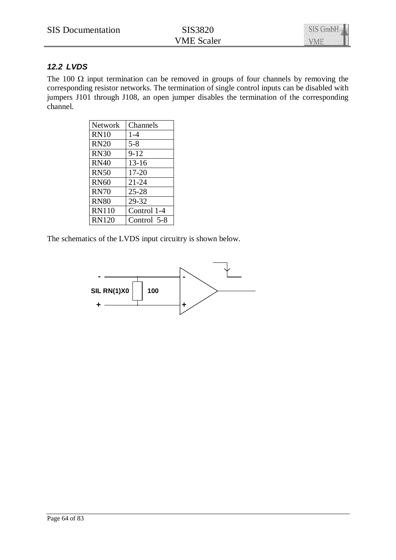

#### *12.2 LVDS*

The 100  $\Omega$  input termination can be removed in groups of four channels by removing the corresponding resistor networks. The termination of single control inputs can be disabled with jumpers J101 through J108, an open jumper disables the termination of the corresponding channel.

| <b>Network</b> | Channels    |
|----------------|-------------|
| <b>RN10</b>    | $1 - 4$     |
| <b>RN20</b>    | $5 - 8$     |
| <b>RN30</b>    | $9 - 12$    |
| <b>RN40</b>    | $13 - 16$   |
| <b>RN50</b>    | $17 - 20$   |
| <b>RN60</b>    | $21 - 24$   |
| <b>RN70</b>    | $25 - 28$   |
| <b>RN80</b>    | 29-32       |
| <b>RN110</b>   | Control 1-4 |
| <b>RN120</b>   | Control 5-8 |

The schematics of the LVDS input circuitry is shown below.

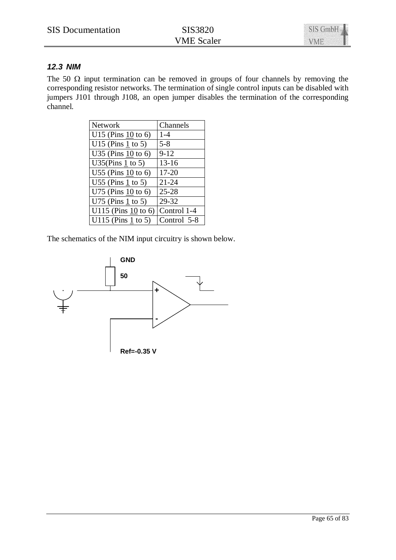#### *12.3 NIM*

The 50  $\Omega$  input termination can be removed in groups of four channels by removing the corresponding resistor networks. The termination of single control inputs can be disabled with jumpers J101 through J108, an open jumper disables the termination of the corresponding channel.

| Network              | Channels    |
|----------------------|-------------|
| U15 (Pins $10$ to 6) | $1 - 4$     |
| U15 (Pins $1$ to 5)  | $5 - 8$     |
| U35 (Pins $10$ to 6) | $9-12$      |
| U35(Pins $1$ to 5)   | $13 - 16$   |
| U55 (Pins $10$ to 6) | $17 - 20$   |
| U55 (Pins $1$ to 5)  | $21 - 24$   |
| U75 (Pins $10$ to 6) | $25 - 28$   |
| U75 (Pins $1$ to 5)  | 29-32       |
| U115 (Pins 10 to 6)  | Control 1-4 |
| U115 (Pins 1 to 5)   | Control 5-8 |

The schematics of the NIM input circuitry is shown below.

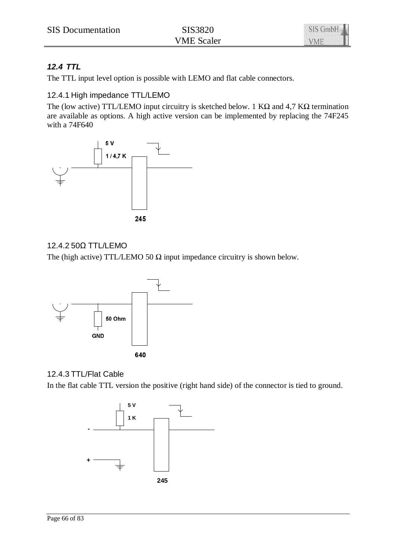#### *12.4 TTL*

The TTL input level option is possible with LEMO and flat cable connectors.

# 12.4.1 High impedance TTL/LEMO

The (low active) TTL/LEMO input circuitry is sketched below. 1 K $\Omega$  and 4,7 K $\Omega$  termination are available as options. A high active version can be implemented by replacing the 74F245 with a 74F640



#### $12.4.2 50 \Omega$  TTL/LEMO

The (high active) TTL/LEMO 50  $\Omega$  input impedance circuitry is shown below.



#### 12.4.3 TTL/Flat Cable

In the flat cable TTL version the positive (right hand side) of the connector is tied to ground.

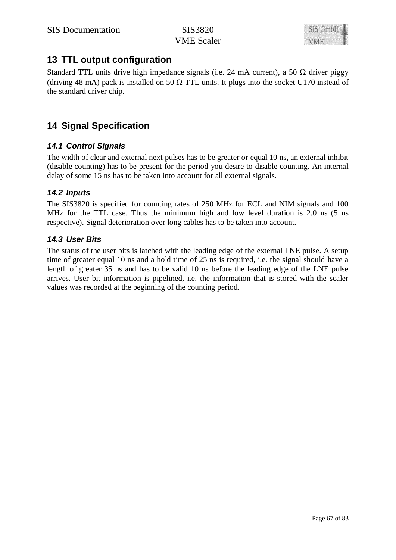# **13 TTL output configuration**

Standard TTL units drive high impedance signals (i.e. 24 mA current), a 50  $\Omega$  driver piggy (driving 48 mA) pack is installed on 50  $\Omega$  TTL units. It plugs into the socket U170 instead of the standard driver chip.

# **14 Signal Specification**

#### *14.1 Control Signals*

The width of clear and external next pulses has to be greater or equal 10 ns, an external inhibit (disable counting) has to be present for the period you desire to disable counting. An internal delay of some 15 ns has to be taken into account for all external signals.

#### *14.2 Inputs*

The SIS3820 is specified for counting rates of 250 MHz for ECL and NIM signals and 100 MHz for the TTL case. Thus the minimum high and low level duration is 2.0 ns (5 ns respective). Signal deterioration over long cables has to be taken into account.

#### *14.3 User Bits*

The status of the user bits is latched with the leading edge of the external LNE pulse. A setup time of greater equal 10 ns and a hold time of 25 ns is required, i.e. the signal should have a length of greater 35 ns and has to be valid 10 ns before the leading edge of the LNE pulse arrives. User bit information is pipelined, i.e. the information that is stored with the scaler values was recorded at the beginning of the counting period.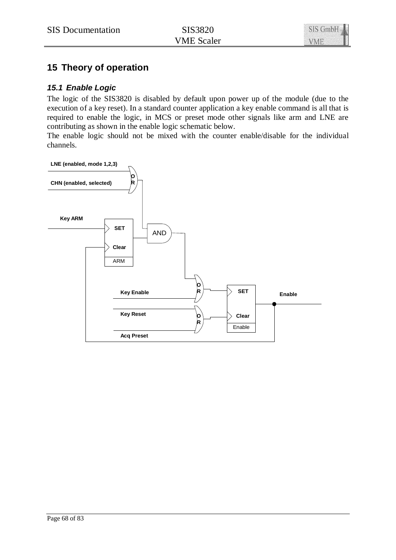# **15 Theory of operation**

#### *15.1 Enable Logic*

The logic of the SIS3820 is disabled by default upon power up of the module (due to the execution of a key reset). In a standard counter application a key enable command is all that is required to enable the logic, in MCS or preset mode other signals like arm and LNE are contributing as shown in the enable logic schematic below.

The enable logic should not be mixed with the counter enable/disable for the individual channels.

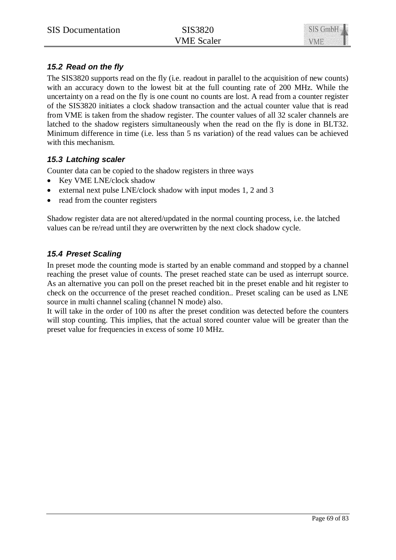#### *15.2 Read on the fly*

The SIS3820 supports read on the fly (i.e. readout in parallel to the acquisition of new counts) with an accuracy down to the lowest bit at the full counting rate of 200 MHz. While the uncertainty on a read on the fly is one count no counts are lost. A read from a counter register of the SIS3820 initiates a clock shadow transaction and the actual counter value that is read from VME is taken from the shadow register. The counter values of all 32 scaler channels are latched to the shadow registers simultaneously when the read on the fly is done in BLT32. Minimum difference in time (i.e. less than 5 ns variation) of the read values can be achieved with this mechanism.

#### *15.3 Latching scaler*

Counter data can be copied to the shadow registers in three ways

- Key VME LNE/clock shadow
- $\bullet$  external next pulse LNE/clock shadow with input modes 1, 2 and 3
- read from the counter registers

Shadow register data are not altered/updated in the normal counting process, i.e. the latched values can be re/read until they are overwritten by the next clock shadow cycle.

#### *15.4 Preset Scaling*

In preset mode the counting mode is started by an enable command and stopped by a channel reaching the preset value of counts. The preset reached state can be used as interrupt source. As an alternative you can poll on the preset reached bit in the preset enable and hit register to check on the occurrence of the preset reached condition.. Preset scaling can be used as LNE source in multi channel scaling (channel N mode) also.

It will take in the order of 100 ns after the preset condition was detected before the counters will stop counting. This implies, that the actual stored counter value will be greater than the preset value for frequencies in excess of some 10 MHz.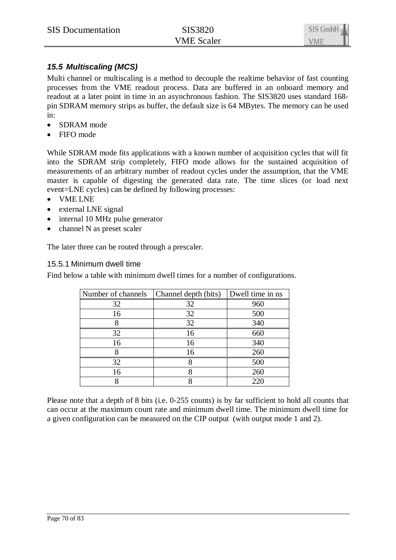#### *15.5 Multiscaling (MCS)*

Multi channel or multiscaling is a method to decouple the realtime behavior of fast counting processes from the VME readout process. Data are buffered in an onboard memory and readout at a later point in time in an asynchronous fashion. The SIS3820 uses standard 168 pin SDRAM memory strips as buffer, the default size is 64 MBytes. The memory can be used in:

- SDRAM mode
- $\bullet$  FIFO mode

While SDRAM mode fits applications with a known number of acquisition cycles that will fit into the SDRAM strip completely, FIFO mode allows for the sustained acquisition of measurements of an arbitrary number of readout cycles under the assumption, that the VME master is capable of digesting the generated data rate. The time slices (or load next event=LNE cycles) can be defined by following processes:

- VME LNE
- external LNE signal
- internal 10 MHz pulse generator
- $\bullet$  channel N as preset scaler

The later three can be routed through a prescaler.

#### 15.5.1 Minimum dwell time

Find below a table with minimum dwell times for a number of configurations.

| Number of channels | Channel depth (bits) | Dwell time in ns |
|--------------------|----------------------|------------------|
| 32                 | 32                   | 960              |
| 16                 | 32                   | 500              |
|                    | 32                   | 340              |
| 32                 | 16                   | 660              |
| 16                 | 16                   | 340              |
|                    | 16                   | 260              |
| 32                 |                      | 500              |
| 16                 |                      | 260              |
|                    |                      | 220              |

Please note that a depth of 8 bits (i.e. 0-255 counts) is by far sufficient to hold all counts that can occur at the maximum count rate and minimum dwell time. The minimum dwell time for a given configuration can be measured on the CIP output (with output mode 1 and 2).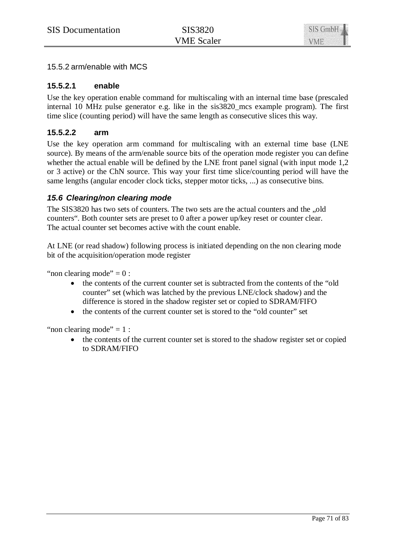#### 15.5.2 arm/enable with MCS

#### **15.5.2.1 enable**

Use the key operation enable command for multiscaling with an internal time base (prescaled internal 10 MHz pulse generator e.g. like in the sis3820\_mcs example program). The first time slice (counting period) will have the same length as consecutive slices this way.

#### **15.5.2.2 arm**

Use the key operation arm command for multiscaling with an external time base (LNE source). By means of the arm/enable source bits of the operation mode register you can define whether the actual enable will be defined by the LNE front panel signal (with input mode 1,2) or 3 active) or the ChN source. This way your first time slice/counting period will have the same lengths (angular encoder clock ticks, stepper motor ticks, ...) as consecutive bins.

#### *15.6 Clearing/non clearing mode*

The SIS3820 has two sets of counters. The two sets are the actual counters and the ... counters". Both counter sets are preset to 0 after a power up/key reset or counter clear. The actual counter set becomes active with the count enable.

At LNE (or read shadow) following process is initiated depending on the non clearing mode bit of the acquisition/operation mode register

"non clearing mode"  $= 0$  :

- the contents of the current counter set is subtracted from the contents of the "old" counter" set (which was latched by the previous LNE/clock shadow) and the difference is stored in the shadow register set or copied to SDRAM/FIFO
- the contents of the current counter set is stored to the "old counter" set

"non clearing mode"  $= 1$  :

• the contents of the current counter set is stored to the shadow register set or copied to SDRAM/FIFO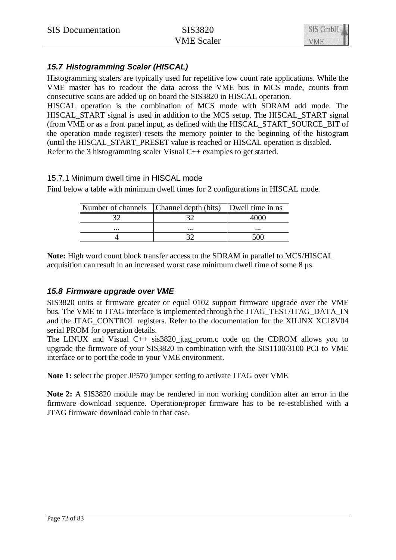#### *15.7 Histogramming Scaler (HISCAL)*

Histogramming scalers are typically used for repetitive low count rate applications. While the VME master has to readout the data across the VME bus in MCS mode, counts from consecutive scans are added up on board the SIS3820 in HISCAL operation.

HISCAL operation is the combination of MCS mode with SDRAM add mode. The HISCAL\_START signal is used in addition to the MCS setup. The HISCAL\_START signal (from VME or as a front panel input, as defined with the HISCAL\_START\_SOURCE\_BIT of the operation mode register) resets the memory pointer to the beginning of the histogram (until the HISCAL\_START\_PRESET value is reached or HISCAL operation is disabled. Refer to the 3 histogramming scaler Visual C++ examples to get started.

#### 15.7.1 Minimum dwell time in HISCAL mode

Find below a table with minimum dwell times for 2 configurations in HISCAL mode.

| Number of channels Channel depth (bits) Dwell time in ns |          |
|----------------------------------------------------------|----------|
|                                                          |          |
| <br>$\cdots$                                             | $\cdots$ |
|                                                          |          |

**Note:** High word count block transfer access to the SDRAM in parallel to MCS/HISCAL acquisition can result in an increased worst case minimum dwell time of some 8 µs.

#### *15.8 Firmware upgrade over VME*

SIS3820 units at firmware greater or equal 0102 support firmware upgrade over the VME bus. The VME to JTAG interface is implemented through the JTAG\_TEST/JTAG\_DATA\_IN and the JTAG\_CONTROL registers. Refer to the documentation for the XILINX XC18V04 serial PROM for operation details.

The LINUX and Visual  $C_{++}$  sis3820 itag prom.c code on the CDROM allows you to upgrade the firmware of your SIS3820 in combination with the SIS1100/3100 PCI to VME interface or to port the code to your VME environment.

**Note 1:** select the proper JP570 jumper setting to activate JTAG over VME

**Note 2:** A SIS3820 module may be rendered in non working condition after an error in the firmware download sequence. Operation/proper firmware has to be re-established with a JTAG firmware download cable in that case.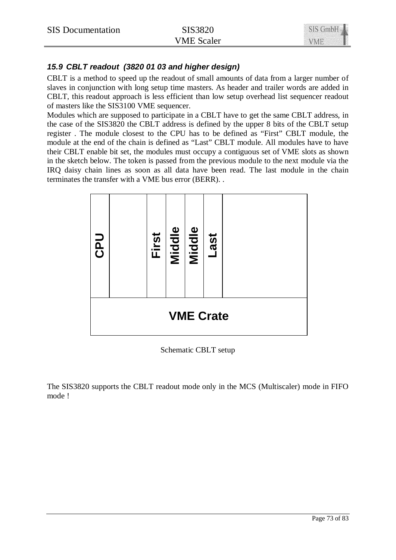| <b>SIS</b> Documentation | SIS3820           | SIS GmbH       |
|--------------------------|-------------------|----------------|
|                          | <b>VME</b> Scaler | $V$ M $\vdash$ |

## *15.9 CBLT readout (3820 01 03 and higher design)*

CBLT is a method to speed up the readout of small amounts of data from a larger number of slaves in conjunction with long setup time masters. As header and trailer words are added in CBLT, this readout approach is less efficient than low setup overhead list sequencer readout of masters like the SIS3100 VME sequencer.

Modules which are supposed to participate in a CBLT have to get the same CBLT address, in the case of the SIS3820 the CBLT address is defined by the upper 8 bits of the CBLT setup register . The module closest to the CPU has to be defined as "First" CBLT module, the module at the end of the chain is defined as "Last" CBLT module. All modules have to have their CBLT enable bit set, the modules must occupy a contiguous set of VME slots as shown in the sketch below. The token is passed from the previous module to the next module via the IRQ daisy chain lines as soon as all data have been read. The last module in the chain terminates the transfer with a VME bus error (BERR). .

| CPU              |  | First | Middle<br>Middle |  | <b>Last</b> |  |
|------------------|--|-------|------------------|--|-------------|--|
| <b>VME Crate</b> |  |       |                  |  |             |  |

Schematic CBLT setup

The SIS3820 supports the CBLT readout mode only in the MCS (Multiscaler) mode in FIFO mode !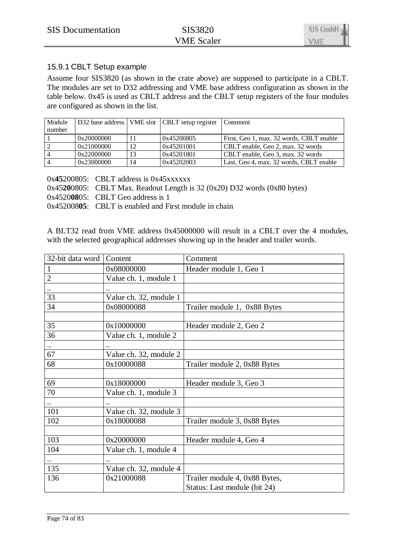## 15.9.1 CBLT Setup example

Assume four SIS3820 (as shown in the crate above) are supposed to participate in a CBLT. The modules are set to D32 addressing and VME base address configuration as shown in the table below. 0x45 is used as CBLT address and the CBLT setup registers of the four modules are configured as shown in the list.

| Module<br>number |            |    | D32 base address   VME slot   CBLT setup register   Comment |                                          |
|------------------|------------|----|-------------------------------------------------------------|------------------------------------------|
|                  | 0x20000000 |    | 0x45200805                                                  | First, Geo 1, max. 32 words, CBLT enable |
|                  | 0x21000000 | 12 | 0x45201001                                                  | CBLT enable, Geo 2, max. 32 words        |
| 4                | 0x22000000 | 13 | 0x45201801                                                  | CBLT enable, Geo 3, max. 32 words        |
|                  | 0x23000000 | 14 | 0x45202003                                                  | Last, Geo 4, max. 32 words, CBLT enable  |

0x**45**200805: CBLT address is 0x45xxxxxx

0x45**20**0805: CBLT Max. Readout Length is 32 (0x20) D32 words (0x80 bytes)

0x4520**08**05: CBLT Geo address is 1

0x452008**05**: CBLT is enabled and First module in chain

A BLT32 read from VME address 0x45000000 will result in a CBLT over the 4 modules, with the selected geographical addresses showing up in the header and trailer words.

| 32-bit data word | Content                | Comment                       |
|------------------|------------------------|-------------------------------|
| $\mathbf{1}$     | 0x08000000             | Header module 1, Geo 1        |
| $\overline{2}$   | Value ch. 1, module 1  |                               |
|                  |                        |                               |
| 33               | Value ch. 32, module 1 |                               |
| 34               | 0x08000088             | Trailer module 1, 0x88 Bytes  |
|                  |                        |                               |
| 35               | 0x10000000             | Header module 2, Geo 2        |
| 36               | Value ch. 1, module 2  |                               |
|                  |                        |                               |
| 67               | Value ch. 32, module 2 |                               |
| 68               | 0x10000088             | Trailer module 2, 0x88 Bytes  |
|                  |                        |                               |
| 69               | 0x18000000             | Header module 3, Geo 3        |
| 70               | Value ch. 1, module 3  |                               |
|                  |                        |                               |
| 101              | Value ch. 32, module 3 |                               |
| 102              | 0x18000088             | Trailer module 3, 0x88 Bytes  |
|                  |                        |                               |
| 103              | 0x20000000             | Header module 4, Geo 4        |
| 104              | Value ch. 1, module 4  |                               |
|                  |                        |                               |
| 135              | Value ch. 32, module 4 |                               |
| 136              | 0x21000088             | Trailer module 4, 0x88 Bytes, |
|                  |                        | Status: Last module (bit 24)  |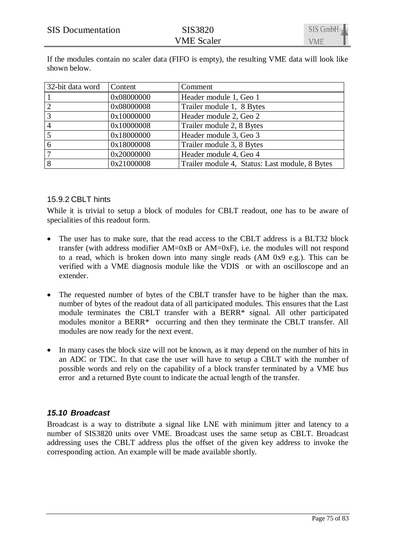If the modules contain no scaler data (FIFO is empty), the resulting VME data will look like shown below.

| 32-bit data word | Content    | Comment                                        |
|------------------|------------|------------------------------------------------|
|                  | 0x08000000 | Header module 1, Geo 1                         |
| $\overline{2}$   | 0x08000008 | Trailer module 1, 8 Bytes                      |
| 3                | 0x10000000 | Header module 2, Geo 2                         |
| $\overline{4}$   | 0x10000008 | Trailer module 2, 8 Bytes                      |
|                  | 0x18000000 | Header module 3, Geo 3                         |
| 6                | 0x18000008 | Trailer module 3, 8 Bytes                      |
|                  | 0x20000000 | Header module 4, Geo 4                         |
| 8                | 0x21000008 | Trailer module 4, Status: Last module, 8 Bytes |

#### 15.9.2 CBLT hints

While it is trivial to setup a block of modules for CBLT readout, one has to be aware of specialities of this readout form.

- The user has to make sure, that the read access to the CBLT address is a BLT32 block transfer (with address modifier AM=0xB or AM=0xF), i.e. the modules will not respond to a read, which is broken down into many single reads (AM 0x9 e.g.). This can be verified with a VME diagnosis module like the VDIS or with an oscilloscope and an extender.
- The requested number of bytes of the CBLT transfer have to be higher than the max. number of bytes of the readout data of all participated modules. This ensures that the Last module terminates the CBLT transfer with a BERR\* signal. All other participated modules monitor a BERR\* occurring and then they terminate the CBLT transfer. All modules are now ready for the next event.
- In many cases the block size will not be known, as it may depend on the number of hits in an ADC or TDC. In that case the user will have to setup a CBLT with the number of possible words and rely on the capability of a block transfer terminated by a VME bus error and a returned Byte count to indicate the actual length of the transfer.

## *15.10 Broadcast*

Broadcast is a way to distribute a signal like LNE with minimum jitter and latency to a number of SIS3820 units over VME. Broadcast uses the same setup as CBLT. Broadcast addressing uses the CBLT address plus the offset of the given key address to invoke the corresponding action. An example will be made available shortly.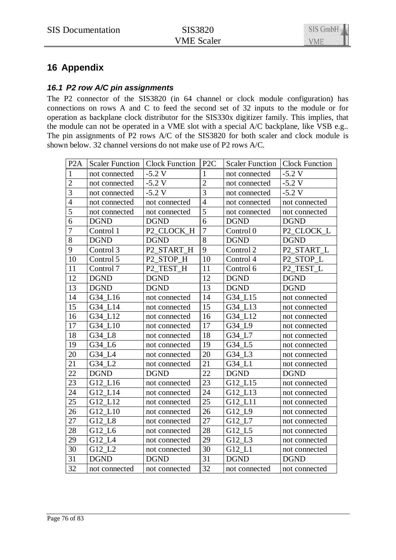## **16 Appendix**

## *16.1 P2 row A/C pin assignments*

The P2 connector of the SIS3820 (in 64 channel or clock module configuration) has connections on rows A and C to feed the second set of 32 inputs to the module or for operation as backplane clock distributor for the SIS330x digitizer family. This implies, that the module can not be operated in a VME slot with a special A/C backplane, like VSB e.g.. The pin assignments of P2 rows A/C of the SIS3820 for both scaler and clock module is shown below. 32 channel versions do not make use of P2 rows A/C.

| P2A            | <b>Scaler Function</b> | <b>Clock Function</b> | P2C            | <b>Scaler Function</b> | <b>Clock Function</b>  |
|----------------|------------------------|-----------------------|----------------|------------------------|------------------------|
| $\mathbf{1}$   | not connected          | $-5.2 V$              | $\mathbf{1}$   | not connected          | $-5.2 V$               |
| $\overline{c}$ | not connected          | $-5.2 V$              | $\overline{c}$ | not connected          | $-5.2 V$               |
| $\overline{3}$ | not connected          | $-5.2 V$              | $\overline{3}$ | not connected          | $-5.2 V$               |
| $\overline{4}$ | not connected          | not connected         | $\overline{4}$ | not connected          | not connected          |
| 5              | not connected          | not connected         | 5              | not connected          | not connected          |
| 6              | <b>DGND</b>            | <b>DGND</b>           | 6              | <b>DGND</b>            | <b>DGND</b>            |
| $\overline{7}$ | Control 1              | P2_CLOCK_H            | $\overline{7}$ | Control 0              | P2_CLOCK_L             |
| 8              | <b>DGND</b>            | <b>DGND</b>           | 8              | <b>DGND</b>            | <b>DGND</b>            |
| 9              | Control 3              | P2_START_H            | 9              | Control 2              | P2_START_L             |
| 10             | Control 5              | P <sub>2</sub> STOP H | 10             | Control 4              | P <sub>2</sub> STOP L  |
| 11             | Control 7              | P2 TEST H             | 11             | Control 6              | P <sub>2</sub> _TEST_L |
| 12             | <b>DGND</b>            | <b>DGND</b>           | 12             | <b>DGND</b>            | <b>DGND</b>            |
| 13             | <b>DGND</b>            | <b>DGND</b>           | 13             | <b>DGND</b>            | <b>DGND</b>            |
| 14             | G34 L16                | not connected         | 14             | G34 L15                | not connected          |
| 15             | G34_L14                | not connected         | 15             | G34 L13                | not connected          |
| 16             | G34_L12                | not connected         | 16             | G34_L12                | not connected          |
| 17             | G34_L10                | not connected         | 17             | G34_L9                 | not connected          |
| 18             | G34 L8                 | not connected         | 18             | G34 L7                 | not connected          |
| 19             | G34 L6                 | not connected         | 19             | G34 L5                 | not connected          |
| 20             | G34 L4                 | not connected         | 20             | G34 L3                 | not connected          |
| 21             | G34_L2                 | not connected         | 21             | G34_L1                 | not connected          |
| 22             | <b>DGND</b>            | <b>DGND</b>           | 22             | <b>DGND</b>            | <b>DGND</b>            |
| 23             | G12 L16                | not connected         | 23             | G12 L15                | not connected          |
| 24             | G12 L14                | not connected         | 24             | G12_L13                | not connected          |
| 25             | G12_L12                | not connected         | 25             | G12_L11                | not connected          |
| 26             | G12 L10                | not connected         | 26             | G12 L9                 | not connected          |
| 27             | G12 L8                 | not connected         | 27             | G12 L7                 | not connected          |
| 28             | G12 L6                 | not connected         | 28             | G12_L5                 | not connected          |
| 29             | G12_L4                 | not connected         | 29             | G12_L3                 | not connected          |
| 30             | G12_L2                 | not connected         | 30             | $G12$ <sub>_L1</sub>   | not connected          |
| 31             | <b>DGND</b>            | <b>DGND</b>           | 31             | <b>DGND</b>            | <b>DGND</b>            |
| 32             | not connected          | not connected         | 32             | not connected          | not connected          |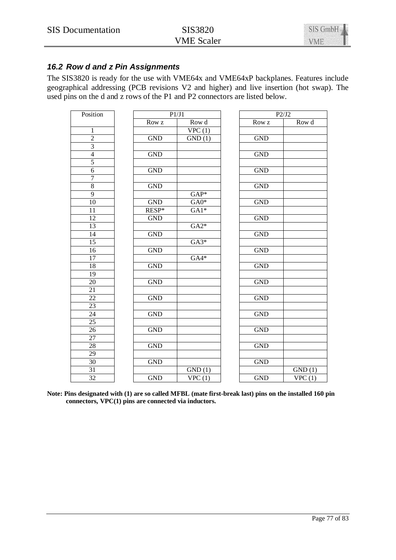## *16.2 Row d and z Pin Assignments*

The SIS3820 is ready for the use with VME64x and VME64xP backplanes. Features include geographical addressing (PCB revisions V2 and higher) and live insertion (hot swap). The used pins on the d and z rows of the P1 and P2 connectors are listed below.

| Position        |            | P1/J1  |            | P2/J2  |
|-----------------|------------|--------|------------|--------|
|                 | Row z      | Row d  | Row z      | Row d  |
| $\mathbf 1$     |            | VPC(1) |            |        |
| $\overline{2}$  | <b>GND</b> | GND(1) | <b>GND</b> |        |
| $\overline{3}$  |            |        |            |        |
| $\overline{4}$  | <b>GND</b> |        | <b>GND</b> |        |
| 5               |            |        |            |        |
| $\overline{6}$  | <b>GND</b> |        | <b>GND</b> |        |
| 7               |            |        |            |        |
| $\overline{8}$  | <b>GND</b> |        | <b>GND</b> |        |
| $\overline{9}$  |            | $GAP*$ |            |        |
| 10              | <b>GND</b> | $GA0*$ | <b>GND</b> |        |
| $\overline{11}$ | RESP*      | $GA1*$ |            |        |
| $\overline{12}$ | <b>GND</b> |        | <b>GND</b> |        |
| 13              |            | $GA2*$ |            |        |
| 14              | <b>GND</b> |        | <b>GND</b> |        |
| 15              |            | $GA3*$ |            |        |
| $\overline{16}$ | <b>GND</b> |        | <b>GND</b> |        |
| $\overline{17}$ |            | $GA4*$ |            |        |
| 18              | <b>GND</b> |        | <b>GND</b> |        |
| 19              |            |        |            |        |
| 20              | <b>GND</b> |        | <b>GND</b> |        |
| $\overline{21}$ |            |        |            |        |
| $\overline{22}$ | <b>GND</b> |        | <b>GND</b> |        |
| 23              |            |        |            |        |
| 24              | <b>GND</b> |        | <b>GND</b> |        |
| $\overline{25}$ |            |        |            |        |
| 26              | <b>GND</b> |        | <b>GND</b> |        |
| 27              |            |        |            |        |
| $\overline{28}$ | <b>GND</b> |        | <b>GND</b> |        |
| $\overline{29}$ |            |        |            |        |
| 30              | <b>GND</b> |        | <b>GND</b> |        |
| $\overline{31}$ |            | GND(1) |            | GND(1) |
| 32              | <b>GND</b> | VPC(1) | <b>GND</b> | VPC(1) |

**Note: Pins designated with (1) are so called MFBL (mate first-break last) pins on the installed 160 pin connectors, VPC(1) pins are connected via inductors.**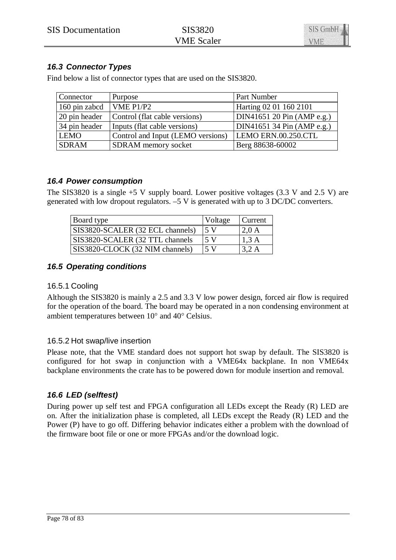## *16.3 Connector Types*

Find below a list of connector types that are used on the SIS3820.

| Connector     | Purpose                           | <b>Part Number</b>         |
|---------------|-----------------------------------|----------------------------|
| 160 pin zabcd | VME P1/P2                         | Harting 02 01 160 2101     |
| 20 pin header | Control (flat cable versions)     | DIN41651 20 Pin (AMP e.g.) |
| 34 pin header | Inputs (flat cable versions)      | DIN41651 34 Pin (AMP e.g.) |
| <b>LEMO</b>   | Control and Input (LEMO versions) | LEMO ERN.00.250.CTL        |
| <b>SDRAM</b>  | SDRAM memory socket               | Berg 88638-60002           |

#### *16.4 Power consumption*

The SIS3820 is a single +5 V supply board. Lower positive voltages (3.3 V and 2.5 V) are generated with low dropout regulators. –5 V is generated with up to 3 DC/DC converters.

| Board type                       | Voltage | Current         |
|----------------------------------|---------|-----------------|
| SIS3820-SCALER (32 ECL channels) | 5 V     | $2,0 \text{ A}$ |
| SIS3820-SCALER (32 TTL channels  | 5 V     | 1,3A            |
| SIS3820-CLOCK (32 NIM channels)  | 5 V     | 3.2 A           |

#### *16.5 Operating conditions*

#### 16.5.1 Cooling

Although the SIS3820 is mainly a 2.5 and 3.3 V low power design, forced air flow is required for the operation of the board. The board may be operated in a non condensing environment at ambient temperatures between  $10^{\circ}$  and  $40^{\circ}$  Celsius.

#### 16.5.2 Hot swap/live insertion

Please note, that the VME standard does not support hot swap by default. The SIS3820 is configured for hot swap in conjunction with a VME64x backplane. In non VME64x backplane environments the crate has to be powered down for module insertion and removal.

#### *16.6 LED (selftest)*

During power up self test and FPGA configuration all LEDs except the Ready (R) LED are on. After the initialization phase is completed, all LEDs except the Ready (R) LED and the Power (P) have to go off. Differing behavior indicates either a problem with the download of the firmware boot file or one or more FPGAs and/or the download logic.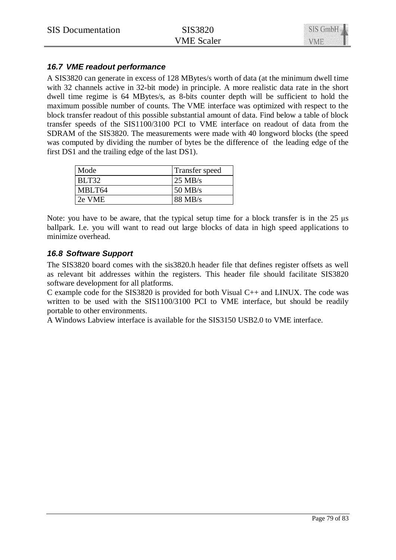### *16.7 VME readout performance*

A SIS3820 can generate in excess of 128 MBytes/s worth of data (at the minimum dwell time with 32 channels active in 32-bit mode) in principle. A more realistic data rate in the short dwell time regime is 64 MBytes/s, as 8-bits counter depth will be sufficient to hold the maximum possible number of counts. The VME interface was optimized with respect to the block transfer readout of this possible substantial amount of data. Find below a table of block transfer speeds of the SIS1100/3100 PCI to VME interface on readout of data from the SDRAM of the SIS3820. The measurements were made with 40 longword blocks (the speed was computed by dividing the number of bytes be the difference of the leading edge of the first DS1 and the trailing edge of the last DS1).

| Mode   | Transfer speed |
|--------|----------------|
| BLT32  | $25$ MB/s      |
| MBLT64 | $50$ MB/s      |
| 2e VME | 88 MB/s        |

Note: you have to be aware, that the typical setup time for a block transfer is in the 25 µs ballpark. I.e. you will want to read out large blocks of data in high speed applications to minimize overhead.

### *16.8 Software Support*

The SIS3820 board comes with the sis3820.h header file that defines register offsets as well as relevant bit addresses within the registers. This header file should facilitate SIS3820 software development for all platforms.

C example code for the SIS3820 is provided for both Visual C++ and LINUX. The code was written to be used with the SIS1100/3100 PCI to VME interface, but should be readily portable to other environments.

A Windows Labview interface is available for the SIS3150 USB2.0 to VME interface.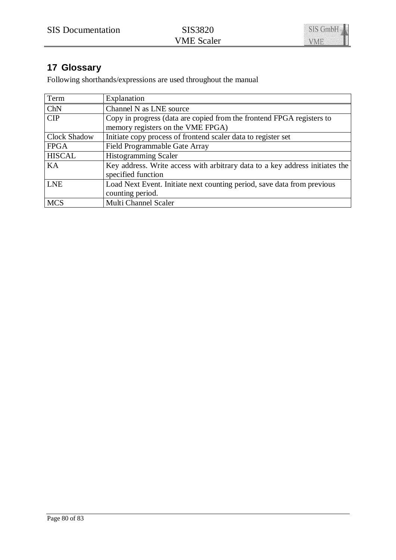

## **17 Glossary**

Following shorthands/expressions are used throughout the manual

| Term                | Explanation                                                                                                |
|---------------------|------------------------------------------------------------------------------------------------------------|
| ChN                 | Channel N as LNE source                                                                                    |
| <b>CIP</b>          | Copy in progress (data are copied from the frontend FPGA registers to<br>memory registers on the VME FPGA) |
| <b>Clock Shadow</b> | Initiate copy process of frontend scaler data to register set                                              |
| <b>FPGA</b>         | Field Programmable Gate Array                                                                              |
| <b>HISCAL</b>       | <b>Histogramming Scaler</b>                                                                                |
| KA                  | Key address. Write access with arbitrary data to a key address initiates the                               |
|                     | specified function                                                                                         |
| <b>LNE</b>          | Load Next Event. Initiate next counting period, save data from previous                                    |
|                     | counting period.                                                                                           |
| <b>MCS</b>          | Multi Channel Scaler                                                                                       |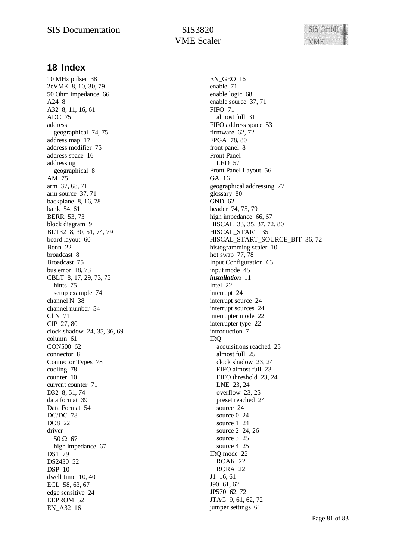SIS GmbH **VME** 

## **18 Index**

10 MHz pulser 38 2eVME 8, 10, 30, 79 50 Ohm impedance 66 A24 8 A32 8, 11, 16, 61 ADC 75 address geographical 74, 75 address map 17 address modifier 75 address space 16 addressing geographical 8 AM 75 arm 37, 68, 71 arm source 37, 71 backplane 8, 16, 78 bank 54, 61 BERR 53, 73 block diagram 9 BLT32 8, 30, 51, 74, 79 board layout 60 Bonn 22 broadcast 8 Broadcast 75 bus error 18, 73 CBLT 8, 17, 29, 73, 75 hints 75 setup example 74 channel N 38 channel number 54 ChN 71 CIP 27, 80 clock shadow 24, 35, 36, 69 column 61 CON500 62 connector 8 Connector Types 78 cooling 78 counter 10 current counter 71 D32 8, 51, 74 data format 39 Data Format 54 DC/DC 78 DO8 22 driver  $50 \Omega$  67 high impedance 67 DS1 79 DS2430 52 DSP 10 dwell time 10, 40 ECL 58, 63, 67 edge sensitive 24 EEPROM 52 EN\_A32 16

EN\_GEO 16 enable 71 enable logic 68 enable source 37, 71 FIFO 71 almost full 31 FIFO address space 53 firmware 62, 72 FPGA 78, 80 front panel 8 Front Panel LED 57 Front Panel Layout 56 GA 16 geographical addressing 77 glossary 80 GND 62 header 74, 75, 79 high impedance 66, 67 HISCAL 33, 35, 37, 72, 80 HISCAL\_START 35 HISCAL\_START\_SOURCE\_BIT 36, 72 histogramming scaler 10 hot swap 77, 78 Input Configuration 63 input mode 45 *installation* 11 Intel 22 interrupt 24 interrupt source 24 interrupt sources 24 interrupter mode 22 interrupter type 22 introduction 7 IRQ acquisitions reached 25 almost full 25 clock shadow 23, 24 FIFO almost full 23 FIFO threshold 23, 24 LNE 23, 24 overflow 23, 25 preset reached 24 source 24 source 0 24 source 1 24 source 2 24, 26 source 3 25 source 4 25 IRQ mode 22 ROAK 22 RORA 22 J1 16, 61 J90 61, 62 JP570 62, 72 JTAG 9, 61, 62, 72 jumper settings 61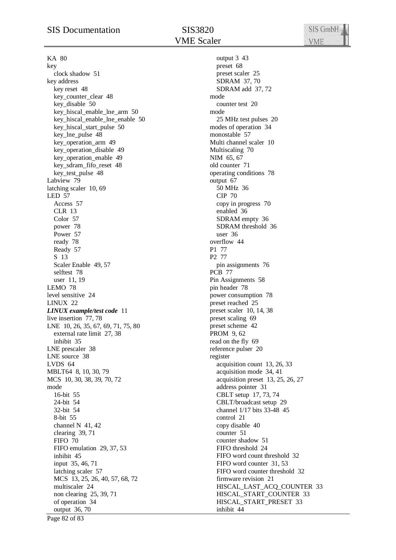KA 80

key clock shadow 51 key address key reset 48 key\_counter\_clear 48 key\_disable 50 key\_hiscal\_enable\_lne\_arm 50 key\_hiscal\_enable\_lne\_enable 50 key\_hiscal\_start\_pulse 50 key\_lne\_pulse 48 key\_operation\_arm 49 key operation disable 49 key operation enable 49 key sdram fifo reset 48 key test pulse 48 Labview 79 latching scaler 10, 69 LED 57 Access 57 CLR 13 Color 57 power 78 Power 57 ready 78 Ready 57 S 13 Scaler Enable 49, 57 selftest 78 user 11, 19 LEMO 78 level sensitive 24 LINUX 22 *LINUX example/test code* 11 live insertion 77, 78 LNE 10, 26, 35, 67, 69, 71, 75, 80 external rate limit 27, 38 inhibit 35 LNE prescaler 38 LNE source 38 LVDS 64 MBLT64 8, 10, 30, 79 MCS 10, 30, 38, 39, 70, 72 mode 16-bit 55 24-bit 54 32-bit 54 8-bit 55 channel N 41, 42 clearing 39, 71 FIFO 70 FIFO emulation 29, 37, 53 inhibit 45 input 35, 46, 71 latching scaler 57 MCS 13, 25, 26, 40, 57, 68, 72 multiscaler 24 non clearing 25, 39, 71 of operation 34 output 36, 70

output 3 43 preset 68 preset scaler 25 SDRAM 37, 70 SDRAM add 37, 72 mode counter test 20 mode 25 MHz test pulses 20 modes of operation 34 monostable 57 Multi channel scaler 10 Multiscaling 70 NIM 65, 67 old counter 71 operating conditions 78 output 67 50 MHz 36 CIP 70 copy in progress 70 enabled 36 SDRAM empty 36 SDRAM threshold 36 user 36 overflow 44 P1 77 P2 77 pin assignments 76 PCB 77 Pin Assignments 58 pin header 78 power consumption 78 preset reached 25 preset scaler 10, 14, 38 preset scaling 69 preset scheme 42 PROM 9, 62 read on the fly 69 reference pulser 20 register acquisition count 13, 26, 33 acquisition mode 34, 41 acquisition preset 13, 25, 26, 27 address pointer 31 CBLT setup 17, 73, 74 CBLT/broadcast setup 29 channel 1/17 bits 33-48 45 control 21 copy disable 40 counter 51 counter shadow 51 FIFO threshold 24 FIFO word count threshold 32 FIFO word counter 31, 53 FIFO word counter threshold 32 firmware revision 21 HISCAL\_LAST\_ACQ\_COUNTER 33 HISCAL\_START\_COUNTER 33 HISCAL\_START\_PRESET 33 inhibit 44

Page 82 of 83